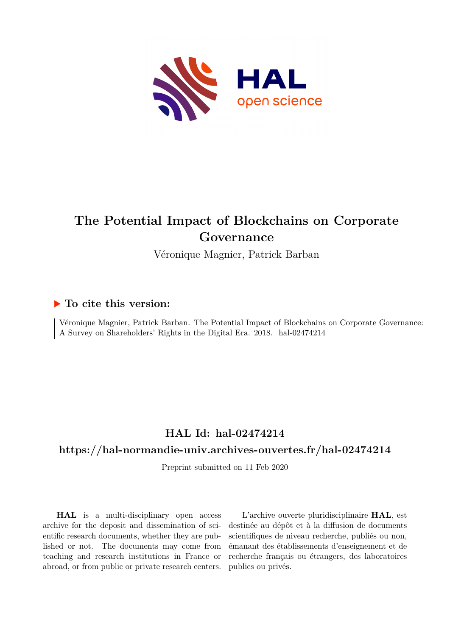

# **The Potential Impact of Blockchains on Corporate Governance**

Véronique Magnier, Patrick Barban

# **To cite this version:**

Véronique Magnier, Patrick Barban. The Potential Impact of Blockchains on Corporate Governance: A Survey on Shareholders' Rights in the Digital Era. 2018. hal-02474214

# **HAL Id: hal-02474214**

# **<https://hal-normandie-univ.archives-ouvertes.fr/hal-02474214>**

Preprint submitted on 11 Feb 2020

**HAL** is a multi-disciplinary open access archive for the deposit and dissemination of scientific research documents, whether they are published or not. The documents may come from teaching and research institutions in France or abroad, or from public or private research centers.

L'archive ouverte pluridisciplinaire **HAL**, est destinée au dépôt et à la diffusion de documents scientifiques de niveau recherche, publiés ou non, émanant des établissements d'enseignement et de recherche français ou étrangers, des laboratoires publics ou privés.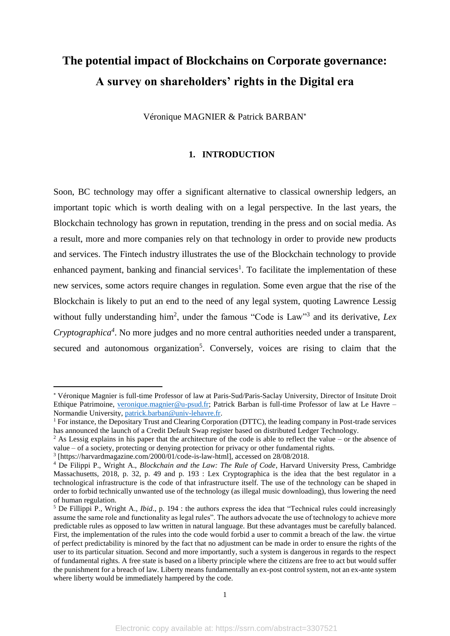# **The potential impact of Blockchains on Corporate governance: A survey on shareholders' rights in the Digital era**

Véronique MAGNIER & Patrick BARBAN

## **1. INTRODUCTION**

Soon, BC technology may offer a significant alternative to classical ownership ledgers, an important topic which is worth dealing with on a legal perspective. In the last years, the Blockchain technology has grown in reputation, trending in the press and on social media. As a result, more and more companies rely on that technology in order to provide new products and services. The Fintech industry illustrates the use of the Blockchain technology to provide enhanced payment, banking and financial services<sup>1</sup>. To facilitate the implementation of these new services, some actors require changes in regulation. Some even argue that the rise of the Blockchain is likely to put an end to the need of any legal system, quoting Lawrence Lessig without fully understanding him<sup>2</sup>, under the famous "Code is Law"<sup>3</sup> and its derivative, Lex *Cryptographica<sup>4</sup>* . No more judges and no more central authorities needed under a transparent, secured and autonomous organization<sup>5</sup>. Conversely, voices are rising to claim that the

 $\overline{a}$ 

Véronique Magnier is full-time Professor of law at Paris-Sud/Paris-Saclay University, Director of Insitute Droit Ethique Patrimoine, [veronique.magnier@u-psud.fr;](mailto:veronique.magnier@u-psud.fr) Patrick Barban is full-time Professor of law at Le Havre – Normandie University, [patrick.barban@univ-lehavre.fr.](mailto:patrick.barban@univ-lehavre.fr)

<sup>&</sup>lt;sup>1</sup> For instance, the Depositary Trust and Clearing Corporation (DTTC), the leading company in Post-trade services has announced the launch of a Credit Default Swap register based on distributed Ledger Technology.

<sup>&</sup>lt;sup>2</sup> As Lessig explains in his paper that the architecture of the code is able to reflect the value – or the absence of value – of a society, protecting or denying protection for privacy or other fundamental rights.

<sup>3</sup> [https://harvardmagazine.com/2000/01/code-is-law-html], accessed on 28/08/2018.

<sup>4</sup> De Filippi P., Wright A., *Blockchain and the Law: The Rule of Code*, Harvard University Press, Cambridge Massachusetts, 2018, p. 32, p. 49 and p. 193 : Lex Cryptographica is the idea that the best regulator in a technological infrastructure is the code of that infrastructure itself. The use of the technology can be shaped in order to forbid technically unwanted use of the technology (as illegal music downloading), thus lowering the need of human regulation.

<sup>5</sup> De Fillippi P., Wright A., *Ibid*., p. 194 : the authors express the idea that "Technical rules could increasingly assume the same role and functionality as legal rules". The authors advocate the use of technology to achieve more predictable rules as opposed to law written in natural language. But these advantages must be carefully balanced. First, the implementation of the rules into the code would forbid a user to commit a breach of the law. the virtue of perfect predictability is minored by the fact that no adjustment can be made in order to ensure the rights of the user to its particular situation. Second and more importantly, such a system is dangerous in regards to the respect of fundamental rights. A free state is based on a liberty principle where the citizens are free to act but would suffer the punishment for a breach of law. Liberty means fundamentally an ex-post control system, not an ex-ante system where liberty would be immediately hampered by the code.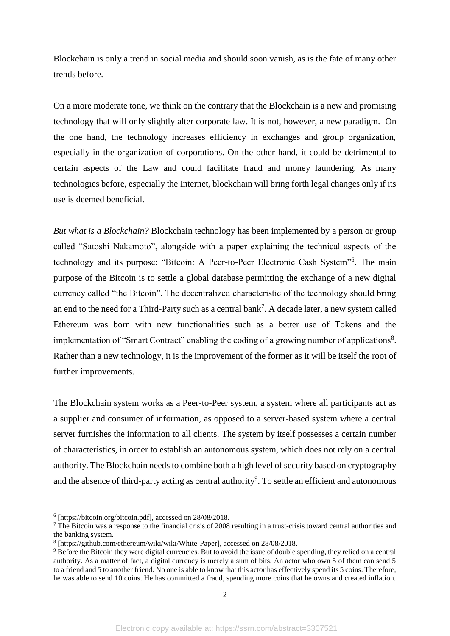Blockchain is only a trend in social media and should soon vanish, as is the fate of many other trends before.

On a more moderate tone, we think on the contrary that the Blockchain is a new and promising technology that will only slightly alter corporate law. It is not, however, a new paradigm. On the one hand, the technology increases efficiency in exchanges and group organization, especially in the organization of corporations. On the other hand, it could be detrimental to certain aspects of the Law and could facilitate fraud and money laundering. As many technologies before, especially the Internet, blockchain will bring forth legal changes only if its use is deemed beneficial.

*But what is a Blockchain?* Blockchain technology has been implemented by a person or group called "Satoshi Nakamoto", alongside with a paper explaining the technical aspects of the technology and its purpose: "Bitcoin: A Peer-to-Peer Electronic Cash System"<sup>6</sup> . The main purpose of the Bitcoin is to settle a global database permitting the exchange of a new digital currency called "the Bitcoin". The decentralized characteristic of the technology should bring an end to the need for a Third-Party such as a central bank<sup>7</sup>. A decade later, a new system called Ethereum was born with new functionalities such as a better use of Tokens and the implementation of "Smart Contract" enabling the coding of a growing number of applications<sup>8</sup>. Rather than a new technology, it is the improvement of the former as it will be itself the root of further improvements.

The Blockchain system works as a Peer-to-Peer system, a system where all participants act as a supplier and consumer of information, as opposed to a server-based system where a central server furnishes the information to all clients. The system by itself possesses a certain number of characteristics, in order to establish an autonomous system, which does not rely on a central authority. The Blockchain needs to combine both a high level of security based on cryptography and the absence of third-party acting as central authority<sup>9</sup>. To settle an efficient and autonomous

<sup>6</sup> [https://bitcoin.org/bitcoin.pdf], accessed on 28/08/2018.

 $<sup>7</sup>$  The Bitcoin was a response to the financial crisis of 2008 resulting in a trust-crisis toward central authorities and</sup> the banking system.

<sup>8</sup> [https://github.com/ethereum/wiki/wiki/White-Paper], accessed on 28/08/2018.

<sup>&</sup>lt;sup>9</sup> Before the Bitcoin they were digital currencies. But to avoid the issue of double spending, they relied on a central authority. As a matter of fact, a digital currency is merely a sum of bits. An actor who own 5 of them can send 5 to a friend and 5 to another friend. No one is able to know that this actor has effectively spend its 5 coins. Therefore, he was able to send 10 coins. He has committed a fraud, spending more coins that he owns and created inflation.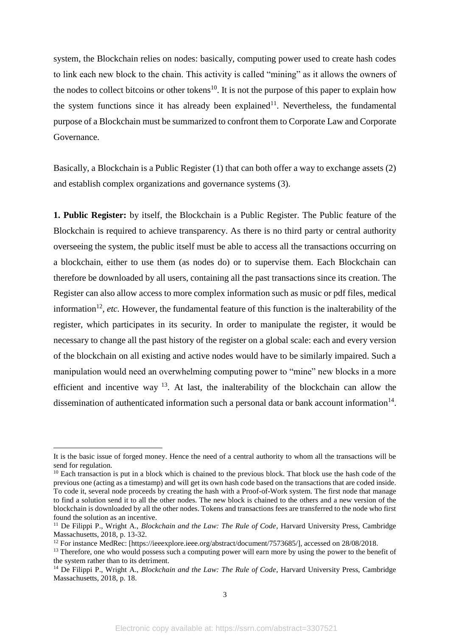system, the Blockchain relies on nodes: basically, computing power used to create hash codes to link each new block to the chain. This activity is called "mining" as it allows the owners of the nodes to collect bitcoins or other tokens<sup>10</sup>. It is not the purpose of this paper to explain how the system functions since it has already been explained<sup>11</sup>. Nevertheless, the fundamental purpose of a Blockchain must be summarized to confront them to Corporate Law and Corporate Governance.

Basically, a Blockchain is a Public Register (1) that can both offer a way to exchange assets (2) and establish complex organizations and governance systems (3).

**1. Public Register:** by itself, the Blockchain is a Public Register. The Public feature of the Blockchain is required to achieve transparency. As there is no third party or central authority overseeing the system, the public itself must be able to access all the transactions occurring on a blockchain, either to use them (as nodes do) or to supervise them. Each Blockchain can therefore be downloaded by all users, containing all the past transactions since its creation. The Register can also allow access to more complex information such as music or pdf files, medical information<sup>12</sup>, etc. However, the fundamental feature of this function is the inalterability of the register, which participates in its security. In order to manipulate the register, it would be necessary to change all the past history of the register on a global scale: each and every version of the blockchain on all existing and active nodes would have to be similarly impaired. Such a manipulation would need an overwhelming computing power to "mine" new blocks in a more efficient and incentive way <sup>13</sup>. At last, the inalterability of the blockchain can allow the dissemination of authenticated information such a personal data or bank account information $14$ .

It is the basic issue of forged money. Hence the need of a central authority to whom all the transactions will be send for regulation.

<sup>&</sup>lt;sup>10</sup> Each transaction is put in a block which is chained to the previous block. That block use the hash code of the previous one (acting as a timestamp) and will get its own hash code based on the transactions that are coded inside. To code it, several node proceeds by creating the hash with a Proof-of-Work system. The first node that manage to find a solution send it to all the other nodes. The new block is chained to the others and a new version of the blockchain is downloaded by all the other nodes. Tokens and transactions fees are transferred to the node who first found the solution as an incentive.

<sup>11</sup> De Filippi P., Wright A., *Blockchain and the Law: The Rule of Code*, Harvard University Press, Cambridge Massachusetts, 2018, p. 13-32.

<sup>&</sup>lt;sup>12</sup> For instance MedRec: [https://ieeexplore.ieee.org/abstract/document/7573685/], accessed on 28/08/2018.

<sup>&</sup>lt;sup>13</sup> Therefore, one who would possess such a computing power will earn more by using the power to the benefit of the system rather than to its detriment.

<sup>14</sup> De Filippi P., Wright A., *Blockchain and the Law: The Rule of Code*, Harvard University Press, Cambridge Massachusetts, 2018, p. 18.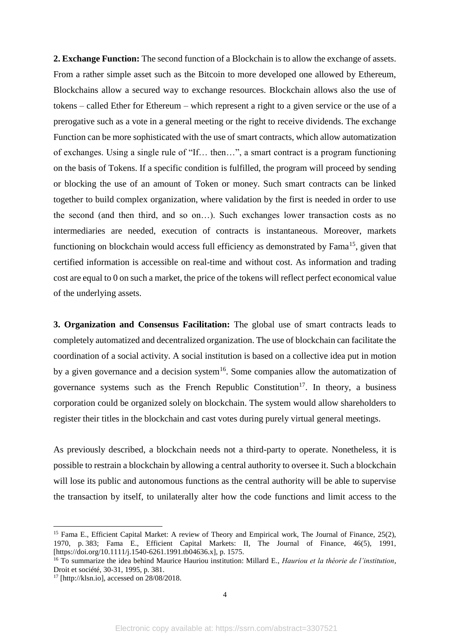**2. Exchange Function:** The second function of a Blockchain is to allow the exchange of assets. From a rather simple asset such as the Bitcoin to more developed one allowed by Ethereum, Blockchains allow a secured way to exchange resources. Blockchain allows also the use of tokens – called Ether for Ethereum – which represent a right to a given service or the use of a prerogative such as a vote in a general meeting or the right to receive dividends. The exchange Function can be more sophisticated with the use of smart contracts, which allow automatization of exchanges. Using a single rule of "If… then…", a smart contract is a program functioning on the basis of Tokens. If a specific condition is fulfilled, the program will proceed by sending or blocking the use of an amount of Token or money. Such smart contracts can be linked together to build complex organization, where validation by the first is needed in order to use the second (and then third, and so on…). Such exchanges lower transaction costs as no intermediaries are needed, execution of contracts is instantaneous. Moreover, markets functioning on blockchain would access full efficiency as demonstrated by Fama<sup>15</sup>, given that certified information is accessible on real-time and without cost. As information and trading cost are equal to 0 on such a market, the price of the tokens will reflect perfect economical value of the underlying assets.

**3. Organization and Consensus Facilitation:** The global use of smart contracts leads to completely automatized and decentralized organization. The use of blockchain can facilitate the coordination of a social activity. A social institution is based on a collective idea put in motion by a given governance and a decision system<sup>16</sup>. Some companies allow the automatization of governance systems such as the French Republic Constitution<sup>17</sup>. In theory, a business corporation could be organized solely on blockchain. The system would allow shareholders to register their titles in the blockchain and cast votes during purely virtual general meetings.

As previously described, a blockchain needs not a third-party to operate. Nonetheless, it is possible to restrain a blockchain by allowing a central authority to oversee it. Such a blockchain will lose its public and autonomous functions as the central authority will be able to supervise the transaction by itself, to unilaterally alter how the code functions and limit access to the

 $\overline{a}$ 

<sup>15</sup> Fama E., Efficient Capital Market: A review of Theory and Empirical work, The Journal of Finance, 25(2), 1970, p. 383; Fama E., Efficient Capital Markets: II, The Journal of Finance, 46(5), 1991, [https://doi.org/10.1111/j.1540-6261.1991.tb04636.x], p. 1575.

<sup>16</sup> To summarize the idea behind Maurice Hauriou institution: Millard E., *Hauriou et la théorie de l'institution*, Droit et société, 30-31, 1995, p. 381.

<sup>&</sup>lt;sup>17</sup> [http://klsn.io], accessed on  $28/08/2018$ .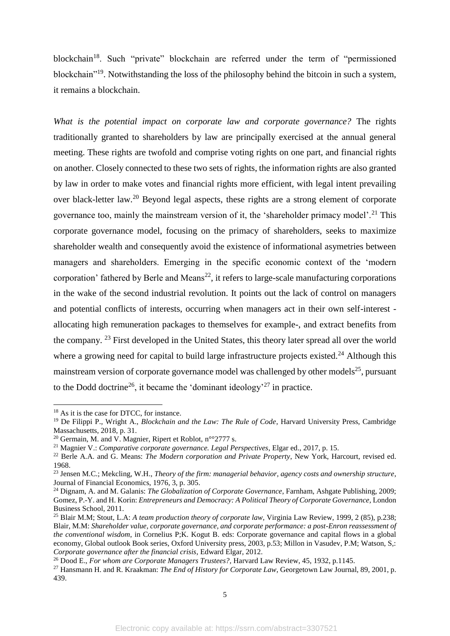blockchain<sup>18</sup>. Such "private" blockchain are referred under the term of "permissioned blockchain"<sup>19</sup>. Notwithstanding the loss of the philosophy behind the bitcoin in such a system, it remains a blockchain.

*What is the potential impact on corporate law and corporate governance?* The rights traditionally granted to shareholders by law are principally exercised at the annual general meeting. These rights are twofold and comprise voting rights on one part, and financial rights on another. Closely connected to these two sets of rights, the information rights are also granted by law in order to make votes and financial rights more efficient, with legal intent prevailing over black-letter law.<sup>20</sup> Beyond legal aspects, these rights are a strong element of corporate governance too, mainly the mainstream version of it, the 'shareholder primacy model'.<sup>21</sup> This corporate governance model, focusing on the primacy of shareholders, seeks to maximize shareholder wealth and consequently avoid the existence of informational asymetries between managers and shareholders. Emerging in the specific economic context of the 'modern corporation' fathered by Berle and Means<sup>22</sup>, it refers to large-scale manufacturing corporations in the wake of the second industrial revolution. It points out the lack of control on managers and potential conflicts of interests, occurring when managers act in their own self-interest allocating high remuneration packages to themselves for example-, and extract benefits from the company. <sup>23</sup> First developed in the United States, this theory later spread all over the world where a growing need for capital to build large infrastructure projects existed.<sup>24</sup> Although this mainstream version of corporate governance model was challenged by other models<sup>25</sup>, pursuant to the Dodd doctrine<sup>26</sup>, it became the 'dominant ideology'<sup>27</sup> in practice.

<sup>&</sup>lt;sup>18</sup> As it is the case for DTCC, for instance.

<sup>19</sup> De Filippi P., Wright A., *Blockchain and the Law: The Rule of Code*, Harvard University Press, Cambridge Massachusetts, 2018, p. 31.

<sup>&</sup>lt;sup>20</sup> Germain, M. and V. Magnier, Ripert et Roblot,  $n^{\circ}$ °2777 s.

<sup>21</sup> Magnier V.: *Comparative corporate governance. Legal Perspectives*, Elgar ed., 2017, p. 15.

<sup>22</sup> Berle A.A. and G. Means: *The Modern corporation and Private Property*, New York, Harcourt, revised ed. 1968.

<sup>23</sup> Jensen M.C.; Mekcling, W.H., *Theory of the firm: managerial behavior, agency costs and ownership structure*, Journal of Financial Economics, 1976, 3, p. 305.

<sup>24</sup> Dignam, A. and M. Galanis: *The Globalization of Corporate Governance*, Farnham, Ashgate Publishing, 2009; Gomez, P.-Y. and H. Korin: *Entrepreneurs and Democracy: A Political Theory of Corporate Governance,* London Business School, 2011.

<sup>25</sup> Blair M.M; Stout, L.A: *A team production theory of corporate law*, Virginia Law Review, 1999, 2 (85), p.238; Blair, M.M: *Shareholder value, corporate governance, and corporate performance: a post-Enron reassessment of the conventional wisdom*, in Cornelius P;K. Kogut B. eds: Corporate governance and capital flows in a global economy, Global outlook Book series, Oxford University press, 2003, p.53; Millon in Vasudev, P.M; Watson, S,: *Corporate governance after the financial crisis*, Edward Elgar, 2012.

<sup>26</sup> Dood E., *For whom are Corporate Managers Trustees?,* Harvard Law Review, 45, 1932, p.1145.

<sup>27</sup> Hansmann H. and R. Kraakman: *The End of History for Corporate Law*, Georgetown Law Journal, 89, 2001, p. 439.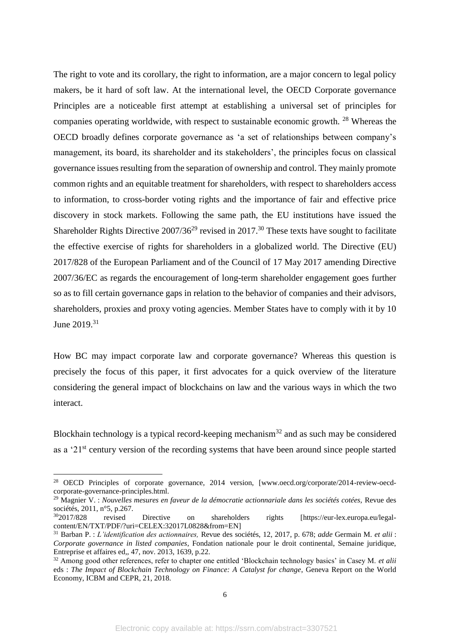The right to vote and its corollary, the right to information, are a major concern to legal policy makers, be it hard of soft law. At the international level, the OECD Corporate governance Principles are a noticeable first attempt at establishing a universal set of principles for companies operating worldwide, with respect to sustainable economic growth. <sup>28</sup> Whereas the OECD broadly defines corporate governance as 'a set of relationships between company's management, its board, its shareholder and its stakeholders', the principles focus on classical governance issues resulting from the separation of ownership and control. They mainly promote common rights and an equitable treatment for shareholders, with respect to shareholders access to information, to cross-border voting rights and the importance of fair and effective price discovery in stock markets. Following the same path, the EU institutions have issued the Shareholder Rights Directive  $2007/36^{29}$  revised in 2017.<sup>30</sup> These texts have sought to facilitate the effective exercise of rights for shareholders in a globalized world. The Directive (EU) 2017/828 of the European Parliament and of the Council of 17 May 2017 amending Directive 2007/36/EC as regards the encouragement of long-term shareholder engagement goes further so as to fill certain governance gaps in relation to the behavior of companies and their advisors, shareholders, proxies and proxy voting agencies. Member States have to comply with it by 10 June 2019.<sup>31</sup>

How BC may impact corporate law and corporate governance? Whereas this question is precisely the focus of this paper, it first advocates for a quick overview of the literature considering the general impact of blockchains on law and the various ways in which the two interact.

Blockhain technology is a typical record-keeping mechanism<sup>32</sup> and as such may be considered as a '21st century version of the recording systems that have been around since people started

<sup>&</sup>lt;sup>28</sup> OECD Principles of corporate governance, 2014 version, [www.oecd.org/corporate/2014-review-oecdcorporate-governance-principles.html.

<sup>29</sup> Magnier V. : *Nouvelles mesures en faveur de la démocratie actionnariale dans les sociétés cotées,* Revue des sociétés, 2011, n°5, p.267.<br><sup>30</sup>2017/828 revised

<sup>30</sup>2017/828 revised Directive on shareholders rights [https://eur-lex.europa.eu/legalcontent/EN/TXT/PDF/?uri=CELEX:32017L0828&from=EN]

<sup>31</sup> Barban P. : *L'identification des actionnaires,* Revue des sociétés, 12, 2017, p. 678; *adde* Germain M. *et alii* : *Corporate governance in listed companies*, Fondation nationale pour le droit continental, Semaine juridique, Entreprise et affaires ed,, 47, nov. 2013, 1639, p.22.

<sup>32</sup> Among good other references, refer to chapter one entitled 'Blockchain technology basics' in Casey M. *et alii* eds : *The Impact of Blockchain Technology on Finance: A Catalyst for change*, Geneva Report on the World Economy, ICBM and CEPR, 21, 2018.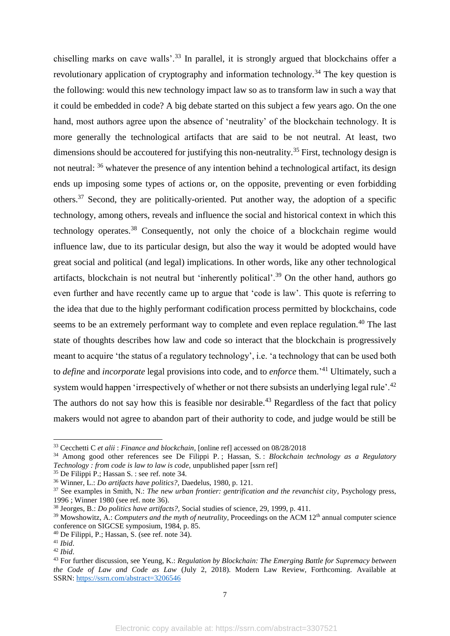chiselling marks on cave walls'.<sup>33</sup> In parallel, it is strongly argued that blockchains offer a revolutionary application of cryptography and information technology.<sup>34</sup> The key question is the following: would this new technology impact law so as to transform law in such a way that it could be embedded in code? A big debate started on this subject a few years ago. On the one hand, most authors agree upon the absence of 'neutrality' of the blockchain technology. It is more generally the technological artifacts that are said to be not neutral. At least, two dimensions should be accoutered for justifying this non-neutrality.<sup>35</sup> First, technology design is not neutral: <sup>36</sup> whatever the presence of any intention behind a technological artifact, its design ends up imposing some types of actions or, on the opposite, preventing or even forbidding others.<sup>37</sup> Second, they are politically-oriented. Put another way, the adoption of a specific technology, among others, reveals and influence the social and historical context in which this technology operates.<sup>38</sup> Consequently, not only the choice of a blockchain regime would influence law, due to its particular design, but also the way it would be adopted would have great social and political (and legal) implications. In other words, like any other technological artifacts, blockchain is not neutral but 'inherently political'.<sup>39</sup> On the other hand, authors go even further and have recently came up to argue that 'code is law'. This quote is referring to the idea that due to the highly performant codification process permitted by blockchains, code seems to be an extremely performant way to complete and even replace regulation.<sup>40</sup> The last state of thoughts describes how law and code so interact that the blockchain is progressively meant to acquire 'the status of a regulatory technology', i.e. 'a technology that can be used both to *define* and *incorporate* legal provisions into code, and to *enforce* them.'<sup>41</sup> Ultimately, such a system would happen 'irrespectively of whether or not there subsists an underlying legal rule'.<sup>42</sup> The authors do not say how this is feasible nor desirable.<sup>43</sup> Regardless of the fact that policy makers would not agree to abandon part of their authority to code, and judge would be still be

 $\overline{a}$ 

<sup>33</sup> Cecchetti C *et alii* : *Finance and blockchain*, [online ref] accessed on 08/28/2018

<sup>34</sup> Among good other references see De Filippi P. ; Hassan, S. : *Blockchain technology as a Regulatory Technology : from code is law to law is code,* unpublished paper [ssrn ref]

<sup>35</sup> De Filippi P.; Hassan S. : see ref. note 34.

<sup>36</sup> Winner, L.: *Do artifacts have politics?,* Daedelus, 1980, p. 121.

<sup>37</sup> See examples in Smith, N.: *The new urban frontier: gentrification and the revanchist city*, Psychology press, 1996 ; Winner 1980 (see ref. note 36).

<sup>38</sup> Jeorges, B.: *Do politics have artifacts?,* Social studies of science, 29, 1999, p. 411.

<sup>&</sup>lt;sup>39</sup> Mowshowitz, A.: *Computers and the myth of neutrality*, Proceedings on the ACM 12<sup>th</sup> annual computer science conference on SIGCSE symposium, 1984, p. 85.

 $40$  De Filippi, P.; Hassan, S. (see ref. note  $34$ ).

<sup>41</sup> *Ibid*.

<sup>42</sup> *Ibid*.

<sup>43</sup> For further discussion, see Yeung, K.: *Regulation by Blockchain: The Emerging Battle for Supremacy between the Code of Law and Code as Law* (July 2, 2018). Modern Law Review, Forthcoming. Available at SSRN: <https://ssrn.com/abstract=3206546>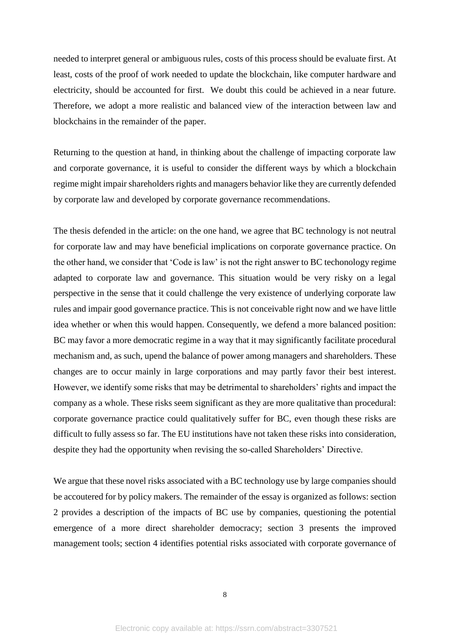needed to interpret general or ambiguous rules, costs of this process should be evaluate first. At least, costs of the proof of work needed to update the blockchain, like computer hardware and electricity, should be accounted for first. We doubt this could be achieved in a near future. Therefore, we adopt a more realistic and balanced view of the interaction between law and blockchains in the remainder of the paper.

Returning to the question at hand, in thinking about the challenge of impacting corporate law and corporate governance, it is useful to consider the different ways by which a blockchain regime might impair shareholders rights and managers behavior like they are currently defended by corporate law and developed by corporate governance recommendations.

The thesis defended in the article: on the one hand, we agree that BC technology is not neutral for corporate law and may have beneficial implications on corporate governance practice. On the other hand, we consider that 'Code is law' is not the right answer to BC techonology regime adapted to corporate law and governance. This situation would be very risky on a legal perspective in the sense that it could challenge the very existence of underlying corporate law rules and impair good governance practice. This is not conceivable right now and we have little idea whether or when this would happen. Consequently, we defend a more balanced position: BC may favor a more democratic regime in a way that it may significantly facilitate procedural mechanism and, as such, upend the balance of power among managers and shareholders. These changes are to occur mainly in large corporations and may partly favor their best interest. However, we identify some risks that may be detrimental to shareholders' rights and impact the company as a whole. These risks seem significant as they are more qualitative than procedural: corporate governance practice could qualitatively suffer for BC, even though these risks are difficult to fully assess so far. The EU institutions have not taken these risks into consideration, despite they had the opportunity when revising the so-called Shareholders' Directive.

We argue that these novel risks associated with a BC technology use by large companies should be accoutered for by policy makers. The remainder of the essay is organized as follows: section 2 provides a description of the impacts of BC use by companies, questioning the potential emergence of a more direct shareholder democracy; section 3 presents the improved management tools; section 4 identifies potential risks associated with corporate governance of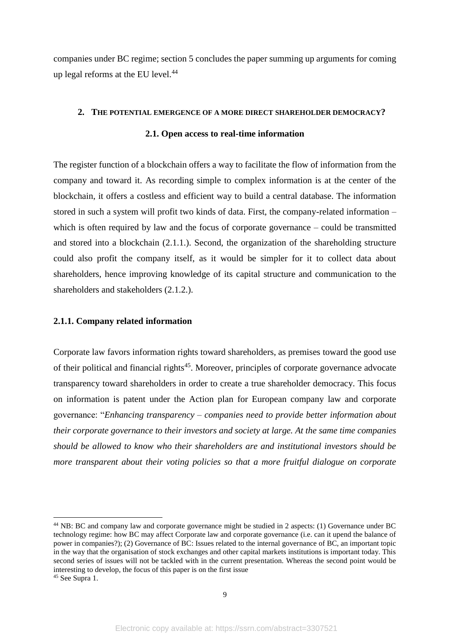companies under BC regime; section 5 concludes the paper summing up arguments for coming up legal reforms at the EU level.<sup>44</sup>

#### **2. THE POTENTIAL EMERGENCE OF A MORE DIRECT SHAREHOLDER DEMOCRACY?**

#### **2.1. Open access to real-time information**

The register function of a blockchain offers a way to facilitate the flow of information from the company and toward it. As recording simple to complex information is at the center of the blockchain, it offers a costless and efficient way to build a central database. The information stored in such a system will profit two kinds of data. First, the company-related information – which is often required by law and the focus of corporate governance – could be transmitted and stored into a blockchain (2.1.1.). Second, the organization of the shareholding structure could also profit the company itself, as it would be simpler for it to collect data about shareholders, hence improving knowledge of its capital structure and communication to the shareholders and stakeholders (2.1.2.).

#### **2.1.1. Company related information**

**.** 

Corporate law favors information rights toward shareholders, as premises toward the good use of their political and financial rights<sup>45</sup>. Moreover, principles of corporate governance advocate transparency toward shareholders in order to create a true shareholder democracy. This focus on information is patent under the Action plan for European company law and corporate governance: "*Enhancing transparency – companies need to provide better information about their corporate governance to their investors and society at large. At the same time companies should be allowed to know who their shareholders are and institutional investors should be more transparent about their voting policies so that a more fruitful dialogue on corporate* 

<sup>44</sup> NB: BC and company law and corporate governance might be studied in 2 aspects: (1) Governance under BC technology regime: how BC may affect Corporate law and corporate governance (i.e. can it upend the balance of power in companies?); (2) Governance of BC: Issues related to the internal governance of BC, an important topic in the way that the organisation of stock exchanges and other capital markets institutions is important today. This second series of issues will not be tackled with in the current presentation. Whereas the second point would be interesting to develop, the focus of this paper is on the first issue  $45$  See Supra 1.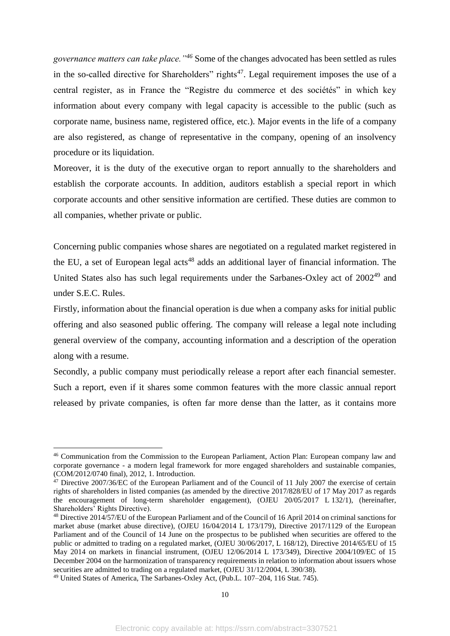*governance matters can take place."<sup>46</sup>* Some of the changes advocated has been settled as rules in the so-called directive for Shareholders" rights<sup>47</sup>. Legal requirement imposes the use of a central register, as in France the "Registre du commerce et des sociétés" in which key information about every company with legal capacity is accessible to the public (such as corporate name, business name, registered office, etc.). Major events in the life of a company are also registered, as change of representative in the company, opening of an insolvency procedure or its liquidation.

Moreover, it is the duty of the executive organ to report annually to the shareholders and establish the corporate accounts. In addition, auditors establish a special report in which corporate accounts and other sensitive information are certified. These duties are common to all companies, whether private or public.

Concerning public companies whose shares are negotiated on a regulated market registered in the EU, a set of European legal acts<sup>48</sup> adds an additional layer of financial information. The United States also has such legal requirements under the Sarbanes-Oxley act of 2002<sup>49</sup> and under S.E.C. Rules.

Firstly, information about the financial operation is due when a company asks for initial public offering and also seasoned public offering. The company will release a legal note including general overview of the company, accounting information and a description of the operation along with a resume.

Secondly, a public company must periodically release a report after each financial semester. Such a report, even if it shares some common features with the more classic annual report released by private companies, is often far more dense than the latter, as it contains more

<sup>46</sup> Communication from the Commission to the European Parliament, Action Plan: European company law and corporate governance - a modern legal framework for more engaged shareholders and sustainable companies, (COM/2012/0740 final), 2012, 1. Introduction.

<sup>&</sup>lt;sup>47</sup> Directive 2007/36/EC of the European Parliament and of the Council of 11 July 2007 the exercise of certain rights of shareholders in listed companies (as amended by the directive 2017/828/EU of 17 May 2017 as regards the encouragement of long-term shareholder engagement), (OJEU 20/05/2017 L 132/1), (hereinafter, Shareholders' Rights Directive).

<sup>&</sup>lt;sup>48</sup> Directive 2014/57/EU of the European Parliament and of the Council of 16 April 2014 on criminal sanctions for market abuse (market abuse directive), (OJEU 16/04/2014 L 173/179), Directive 2017/1129 of the European Parliament and of the Council of 14 June on the prospectus to be published when securities are offered to the public or admitted to trading on a regulated market, (OJEU 30/06/2017, L 168/12), Directive 2014/65/EU of 15 May 2014 on markets in financial instrument, (OJEU 12/06/2014 L 173/349), Directive 2004/109/EC of 15 December 2004 on the harmonization of transparency requirements in relation to information about issuers whose securities are admitted to trading on a regulated market, (OJEU 31/12/2004, L 390/38).

<sup>49</sup> United States of America, The Sarbanes-Oxley Act, (Pub.L. 107–204, 116 Stat. 745).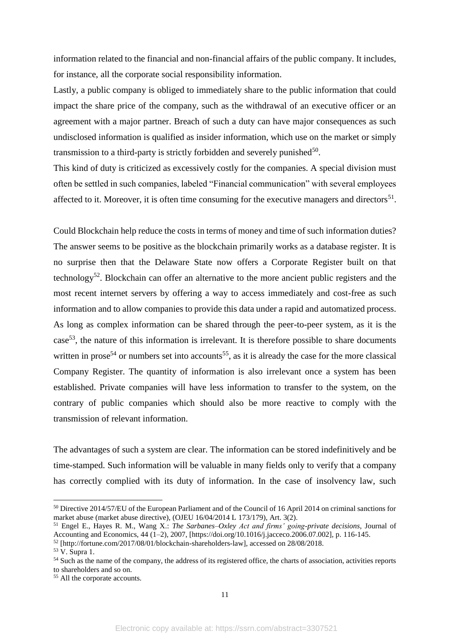information related to the financial and non-financial affairs of the public company. It includes, for instance, all the corporate social responsibility information.

Lastly, a public company is obliged to immediately share to the public information that could impact the share price of the company, such as the withdrawal of an executive officer or an agreement with a major partner. Breach of such a duty can have major consequences as such undisclosed information is qualified as insider information, which use on the market or simply transmission to a third-party is strictly forbidden and severely punished $50$ .

This kind of duty is criticized as excessively costly for the companies. A special division must often be settled in such companies, labeled "Financial communication" with several employees affected to it. Moreover, it is often time consuming for the executive managers and directors<sup>51</sup>.

Could Blockchain help reduce the costs in terms of money and time of such information duties? The answer seems to be positive as the blockchain primarily works as a database register. It is no surprise then that the Delaware State now offers a Corporate Register built on that technology<sup>52</sup>. Blockchain can offer an alternative to the more ancient public registers and the most recent internet servers by offering a way to access immediately and cost-free as such information and to allow companies to provide this data under a rapid and automatized process. As long as complex information can be shared through the peer-to-peer system, as it is the  $case<sup>53</sup>$ , the nature of this information is irrelevant. It is therefore possible to share documents written in prose<sup>54</sup> or numbers set into accounts<sup>55</sup>, as it is already the case for the more classical Company Register. The quantity of information is also irrelevant once a system has been established. Private companies will have less information to transfer to the system, on the contrary of public companies which should also be more reactive to comply with the transmission of relevant information.

The advantages of such a system are clear. The information can be stored indefinitively and be time-stamped. Such information will be valuable in many fields only to verify that a company has correctly complied with its duty of information. In the case of insolvency law, such

<sup>50</sup> Directive 2014/57/EU of the European Parliament and of the Council of 16 April 2014 on criminal sanctions for market abuse (market abuse directive), (OJEU 16/04/2014 L 173/179), Art. 3(2).

<sup>51</sup> Engel E., Hayes R. M., Wang X.: *The Sarbanes–Oxley Act and firms' going-private decisions*, Journal of Accounting and Economics, 44 (1–2), 2007, [https://doi.org/10.1016/j.jacceco.2006.07.002], p. 116-145.

<sup>52</sup> [http://fortune.com/2017/08/01/blockchain-shareholders-law], accessed on 28/08/2018.

<sup>53</sup> V. Supra 1.

<sup>&</sup>lt;sup>54</sup> Such as the name of the company, the address of its registered office, the charts of association, activities reports to shareholders and so on.

<sup>55</sup> All the corporate accounts.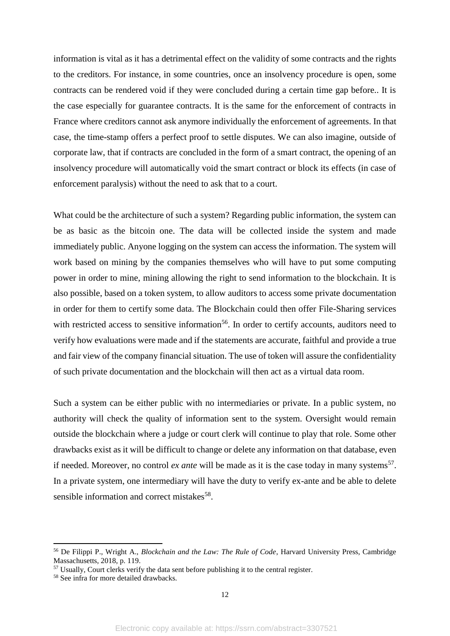information is vital as it has a detrimental effect on the validity of some contracts and the rights to the creditors. For instance, in some countries, once an insolvency procedure is open, some contracts can be rendered void if they were concluded during a certain time gap before.. It is the case especially for guarantee contracts. It is the same for the enforcement of contracts in France where creditors cannot ask anymore individually the enforcement of agreements. In that case, the time-stamp offers a perfect proof to settle disputes. We can also imagine, outside of corporate law, that if contracts are concluded in the form of a smart contract, the opening of an insolvency procedure will automatically void the smart contract or block its effects (in case of enforcement paralysis) without the need to ask that to a court.

What could be the architecture of such a system? Regarding public information, the system can be as basic as the bitcoin one. The data will be collected inside the system and made immediately public. Anyone logging on the system can access the information. The system will work based on mining by the companies themselves who will have to put some computing power in order to mine, mining allowing the right to send information to the blockchain. It is also possible, based on a token system, to allow auditors to access some private documentation in order for them to certify some data. The Blockchain could then offer File-Sharing services with restricted access to sensitive information<sup>56</sup>. In order to certify accounts, auditors need to verify how evaluations were made and if the statements are accurate, faithful and provide a true and fair view of the company financial situation. The use of token will assure the confidentiality of such private documentation and the blockchain will then act as a virtual data room.

Such a system can be either public with no intermediaries or private. In a public system, no authority will check the quality of information sent to the system. Oversight would remain outside the blockchain where a judge or court clerk will continue to play that role. Some other drawbacks exist as it will be difficult to change or delete any information on that database, even if needed. Moreover, no control *ex ante* will be made as it is the case today in many systems<sup>57</sup>. In a private system, one intermediary will have the duty to verify ex-ante and be able to delete sensible information and correct mistakes<sup>58</sup>.

<sup>56</sup> De Filippi P., Wright A., *Blockchain and the Law: The Rule of Code*, Harvard University Press, Cambridge Massachusetts, 2018, p. 119.

<sup>57</sup> Usually, Court clerks verify the data sent before publishing it to the central register.

<sup>58</sup> See infra for more detailed drawbacks.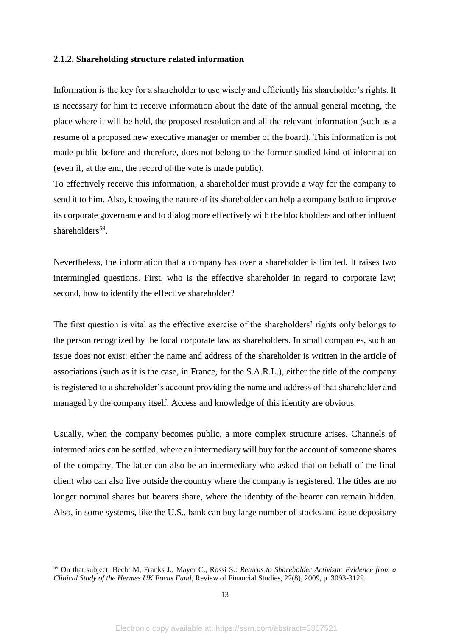#### **2.1.2. Shareholding structure related information**

Information is the key for a shareholder to use wisely and efficiently his shareholder's rights. It is necessary for him to receive information about the date of the annual general meeting, the place where it will be held, the proposed resolution and all the relevant information (such as a resume of a proposed new executive manager or member of the board). This information is not made public before and therefore, does not belong to the former studied kind of information (even if, at the end, the record of the vote is made public).

To effectively receive this information, a shareholder must provide a way for the company to send it to him. Also, knowing the nature of its shareholder can help a company both to improve its corporate governance and to dialog more effectively with the blockholders and other influent shareholders<sup>59</sup>.

Nevertheless, the information that a company has over a shareholder is limited. It raises two intermingled questions. First, who is the effective shareholder in regard to corporate law; second, how to identify the effective shareholder?

The first question is vital as the effective exercise of the shareholders' rights only belongs to the person recognized by the local corporate law as shareholders. In small companies, such an issue does not exist: either the name and address of the shareholder is written in the article of associations (such as it is the case, in France, for the S.A.R.L.), either the title of the company is registered to a shareholder's account providing the name and address of that shareholder and managed by the company itself. Access and knowledge of this identity are obvious.

Usually, when the company becomes public, a more complex structure arises. Channels of intermediaries can be settled, where an intermediary will buy for the account of someone shares of the company. The latter can also be an intermediary who asked that on behalf of the final client who can also live outside the country where the company is registered. The titles are no longer nominal shares but bearers share, where the identity of the bearer can remain hidden. Also, in some systems, like the U.S., bank can buy large number of stocks and issue depositary

<sup>59</sup> On that subject: Becht M, Franks J., Mayer C., Rossi S.: *Returns to Shareholder Activism: Evidence from a Clinical Study of the Hermes UK Focus Fund*, Review of Financial Studies, 22(8), 2009, p. 3093-3129.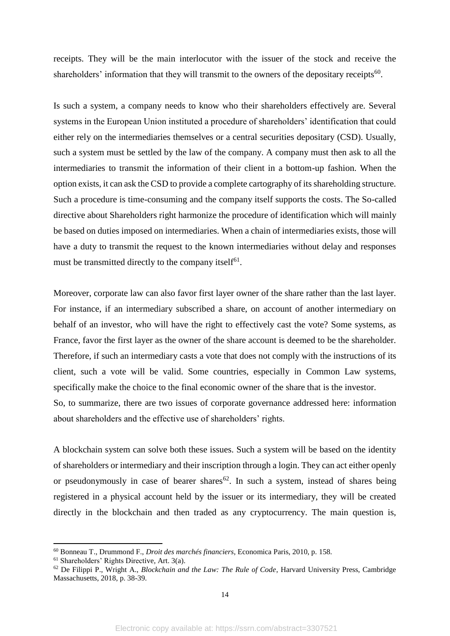receipts. They will be the main interlocutor with the issuer of the stock and receive the shareholders' information that they will transmit to the owners of the depositary receipts<sup>60</sup>.

Is such a system, a company needs to know who their shareholders effectively are. Several systems in the European Union instituted a procedure of shareholders' identification that could either rely on the intermediaries themselves or a central securities depositary (CSD). Usually, such a system must be settled by the law of the company. A company must then ask to all the intermediaries to transmit the information of their client in a bottom-up fashion. When the option exists, it can ask the CSD to provide a complete cartography of its shareholding structure. Such a procedure is time-consuming and the company itself supports the costs. The So-called directive about Shareholders right harmonize the procedure of identification which will mainly be based on duties imposed on intermediaries. When a chain of intermediaries exists, those will have a duty to transmit the request to the known intermediaries without delay and responses must be transmitted directly to the company itself<sup>61</sup>.

Moreover, corporate law can also favor first layer owner of the share rather than the last layer. For instance, if an intermediary subscribed a share, on account of another intermediary on behalf of an investor, who will have the right to effectively cast the vote? Some systems, as France, favor the first layer as the owner of the share account is deemed to be the shareholder. Therefore, if such an intermediary casts a vote that does not comply with the instructions of its client, such a vote will be valid. Some countries, especially in Common Law systems, specifically make the choice to the final economic owner of the share that is the investor. So, to summarize, there are two issues of corporate governance addressed here: information

about shareholders and the effective use of shareholders' rights.

A blockchain system can solve both these issues. Such a system will be based on the identity of shareholders or intermediary and their inscription through a login. They can act either openly or pseudonymously in case of bearer shares<sup>62</sup>. In such a system, instead of shares being registered in a physical account held by the issuer or its intermediary, they will be created directly in the blockchain and then traded as any cryptocurrency. The main question is,

<sup>60</sup> Bonneau T., Drummond F., *Droit des marchés financiers*, Economica Paris, 2010, p. 158.

<sup>61</sup> Shareholders' Rights Directive, Art. 3(a).

<sup>62</sup> De Filippi P., Wright A., *Blockchain and the Law: The Rule of Code*, Harvard University Press, Cambridge Massachusetts, 2018, p. 38-39.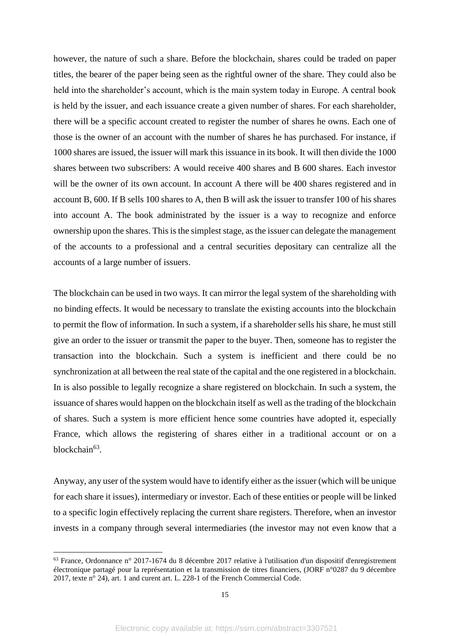however, the nature of such a share. Before the blockchain, shares could be traded on paper titles, the bearer of the paper being seen as the rightful owner of the share. They could also be held into the shareholder's account, which is the main system today in Europe. A central book is held by the issuer, and each issuance create a given number of shares. For each shareholder, there will be a specific account created to register the number of shares he owns. Each one of those is the owner of an account with the number of shares he has purchased. For instance, if 1000 shares are issued, the issuer will mark this issuance in its book. It will then divide the 1000 shares between two subscribers: A would receive 400 shares and B 600 shares. Each investor will be the owner of its own account. In account A there will be 400 shares registered and in account B, 600. If B sells 100 shares to A, then B will ask the issuer to transfer 100 of his shares into account A. The book administrated by the issuer is a way to recognize and enforce ownership upon the shares. This is the simplest stage, as the issuer can delegate the management of the accounts to a professional and a central securities depositary can centralize all the accounts of a large number of issuers.

The blockchain can be used in two ways. It can mirror the legal system of the shareholding with no binding effects. It would be necessary to translate the existing accounts into the blockchain to permit the flow of information. In such a system, if a shareholder sells his share, he must still give an order to the issuer or transmit the paper to the buyer. Then, someone has to register the transaction into the blockchain. Such a system is inefficient and there could be no synchronization at all between the real state of the capital and the one registered in a blockchain. In is also possible to legally recognize a share registered on blockchain. In such a system, the issuance of shares would happen on the blockchain itself as well as the trading of the blockchain of shares. Such a system is more efficient hence some countries have adopted it, especially France, which allows the registering of shares either in a traditional account or on a blockchain<sup>63</sup>.

Anyway, any user of the system would have to identify either as the issuer (which will be unique for each share it issues), intermediary or investor. Each of these entities or people will be linked to a specific login effectively replacing the current share registers. Therefore, when an investor invests in a company through several intermediaries (the investor may not even know that a

<sup>63</sup> France, Ordonnance n° 2017-1674 du 8 décembre 2017 relative à l'utilisation d'un dispositif d'enregistrement électronique partagé pour la représentation et la transmission de titres financiers, (JORF n°0287 du 9 décembre 2017, texte n° 24), art. 1 and curent art. L. 228-1 of the French Commercial Code.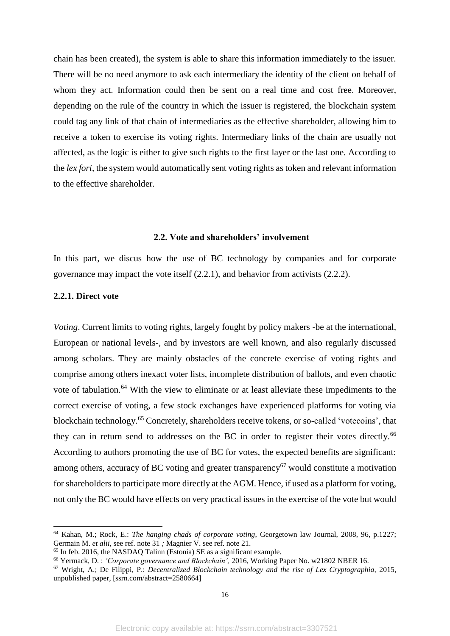chain has been created), the system is able to share this information immediately to the issuer. There will be no need anymore to ask each intermediary the identity of the client on behalf of whom they act. Information could then be sent on a real time and cost free. Moreover, depending on the rule of the country in which the issuer is registered, the blockchain system could tag any link of that chain of intermediaries as the effective shareholder, allowing him to receive a token to exercise its voting rights. Intermediary links of the chain are usually not affected, as the logic is either to give such rights to the first layer or the last one. According to the *lex fori*, the system would automatically sent voting rights as token and relevant information to the effective shareholder.

# **2.2. Vote and shareholders' involvement**

In this part, we discus how the use of BC technology by companies and for corporate governance may impact the vote itself (2.2.1), and behavior from activists (2.2.2).

# **2.2.1. Direct vote**

 $\overline{\phantom{a}}$ 

*Voting*. Current limits to voting rights, largely fought by policy makers -be at the international, European or national levels-, and by investors are well known, and also regularly discussed among scholars. They are mainly obstacles of the concrete exercise of voting rights and comprise among others inexact voter lists, incomplete distribution of ballots, and even chaotic vote of tabulation.<sup>64</sup> With the view to eliminate or at least alleviate these impediments to the correct exercise of voting, a few stock exchanges have experienced platforms for voting via blockchain technology.<sup>65</sup> Concretely, shareholders receive tokens, or so-called 'votecoins', that they can in return send to addresses on the BC in order to register their votes directly.<sup>66</sup> According to authors promoting the use of BC for votes, the expected benefits are significant: among others, accuracy of BC voting and greater transparency<sup>67</sup> would constitute a motivation for shareholders to participate more directly at the AGM. Hence, if used as a platform for voting, not only the BC would have effects on very practical issues in the exercise of the vote but would

<sup>64</sup> Kahan, M.; Rock, E.: *The hanging chads of corporate voting*, Georgetown law Journal, 2008, 96, p.1227; Germain M. *et alii*, see ref. note 31 *;* Magnier V. see ref. note 21.

<sup>&</sup>lt;sup>65</sup> In feb. 2016, the NASDAQ Talinn (Estonia) SE as a significant example.

<sup>66</sup> Yermack, D. : *'Corporate governance and Blockchain',* 2016, Working Paper No. w21802 NBER 16.

<sup>67</sup> Wright, A.; De Filippi, P.: *Decentralized Blockchain technology and the rise of Lex Cryptographia,* 2015, unpublished paper, [ssrn.com/abstract=2580664]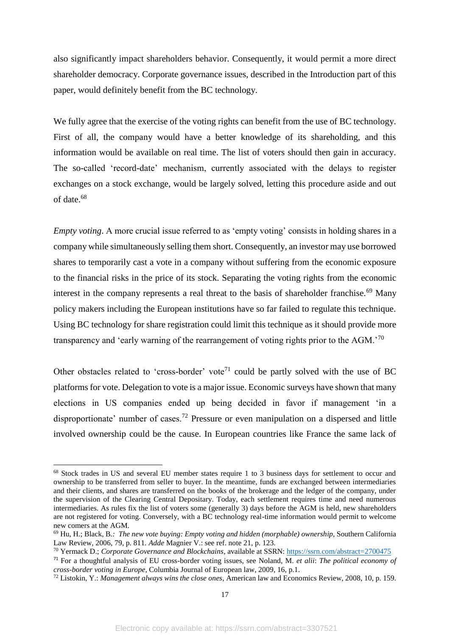also significantly impact shareholders behavior. Consequently, it would permit a more direct shareholder democracy. Corporate governance issues, described in the Introduction part of this paper, would definitely benefit from the BC technology.

We fully agree that the exercise of the voting rights can benefit from the use of BC technology. First of all, the company would have a better knowledge of its shareholding, and this information would be available on real time. The list of voters should then gain in accuracy. The so-called 'record-date' mechanism, currently associated with the delays to register exchanges on a stock exchange, would be largely solved, letting this procedure aside and out of date.<sup>68</sup>

*Empty voting*. A more crucial issue referred to as 'empty voting' consists in holding shares in a company while simultaneously selling them short. Consequently, an investor may use borrowed shares to temporarily cast a vote in a company without suffering from the economic exposure to the financial risks in the price of its stock. Separating the voting rights from the economic interest in the company represents a real threat to the basis of shareholder franchise.<sup>69</sup> Many policy makers including the European institutions have so far failed to regulate this technique. Using BC technology for share registration could limit this technique as it should provide more transparency and 'early warning of the rearrangement of voting rights prior to the AGM.'<sup>70</sup>

Other obstacles related to 'cross-border' vote<sup>71</sup> could be partly solved with the use of BC platforms for vote. Delegation to vote is a major issue. Economic surveys have shown that many elections in US companies ended up being decided in favor if management 'in a disproportionate' number of cases.<sup>72</sup> Pressure or even manipulation on a dispersed and little involved ownership could be the cause. In European countries like France the same lack of

<sup>&</sup>lt;sup>68</sup> Stock trades in US and several EU member states require 1 to 3 business days for settlement to occur and ownership to be transferred from seller to buyer. In the meantime, funds are exchanged between intermediaries and their clients, and shares are transferred on the books of the brokerage and the ledger of the company, under the supervision of the Clearing Central Depositary. Today, each settlement requires time and need numerous intermediaries. As rules fix the list of voters some (generally 3) days before the AGM is held, new shareholders are not registered for voting. Conversely, with a BC technology real-time information would permit to welcome new comers at the AGM.

<sup>69</sup> Hu, H.; Black, B*.: The new vote buying: Empty voting and hidden (morphable) ownership*, Southern California Law Review, 2006, 79, p. 811. *Adde* Magnier V.: see ref. note 21, p. 123.

<sup>70</sup> Yermack D.; *Corporate Governance and Blockchains*, available at SSRN: <https://ssrn.com/abstract=2700475>

<sup>71</sup> For a thoughtful analysis of EU cross-border voting issues, see Noland, M. *et alii*: *The political economy of cross-border voting in Europe*, Columbia Journal of European law, 2009, 16, p.1.

<sup>72</sup> Listokin, Y.: *Management always wins the close ones*, American law and Economics Review, 2008, 10, p. 159.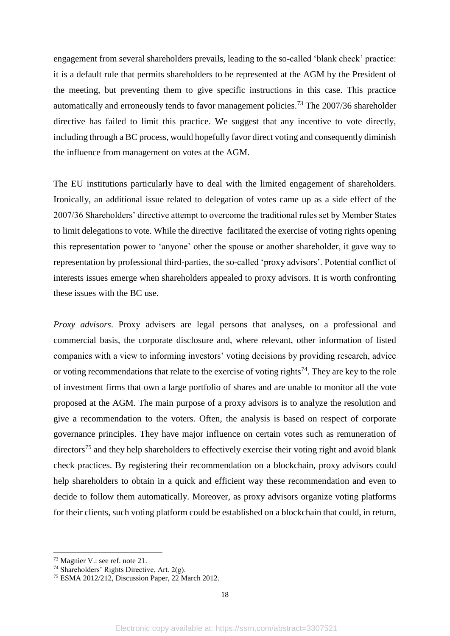engagement from several shareholders prevails, leading to the so-called 'blank check' practice: it is a default rule that permits shareholders to be represented at the AGM by the President of the meeting, but preventing them to give specific instructions in this case. This practice automatically and erroneously tends to favor management policies.<sup>73</sup> The  $2007/36$  shareholder directive has failed to limit this practice. We suggest that any incentive to vote directly, including through a BC process, would hopefully favor direct voting and consequently diminish the influence from management on votes at the AGM.

The EU institutions particularly have to deal with the limited engagement of shareholders. Ironically, an additional issue related to delegation of votes came up as a side effect of the 2007/36 Shareholders' directive attempt to overcome the traditional rules set by Member States to limit delegations to vote. While the directive facilitated the exercise of voting rights opening this representation power to 'anyone' other the spouse or another shareholder, it gave way to representation by professional third-parties, the so-called 'proxy advisors'. Potential conflict of interests issues emerge when shareholders appealed to proxy advisors. It is worth confronting these issues with the BC use.

*Proxy advisors*. Proxy advisers are legal persons that analyses, on a professional and commercial basis, the corporate disclosure and, where relevant, other information of listed companies with a view to informing investors' voting decisions by providing research, advice or voting recommendations that relate to the exercise of voting rights<sup>74</sup>. They are key to the role of investment firms that own a large portfolio of shares and are unable to monitor all the vote proposed at the AGM. The main purpose of a proxy advisors is to analyze the resolution and give a recommendation to the voters. Often, the analysis is based on respect of corporate governance principles. They have major influence on certain votes such as remuneration of directors<sup>75</sup> and they help shareholders to effectively exercise their voting right and avoid blank check practices. By registering their recommendation on a blockchain, proxy advisors could help shareholders to obtain in a quick and efficient way these recommendation and even to decide to follow them automatically. Moreover, as proxy advisors organize voting platforms for their clients, such voting platform could be established on a blockchain that could, in return,

<sup>73</sup> Magnier V.: see ref. note 21.

<sup>&</sup>lt;sup>74</sup> Shareholders' Rights Directive, Art.  $2(g)$ .

<sup>75</sup> ESMA 2012/212, Discussion Paper, 22 March 2012.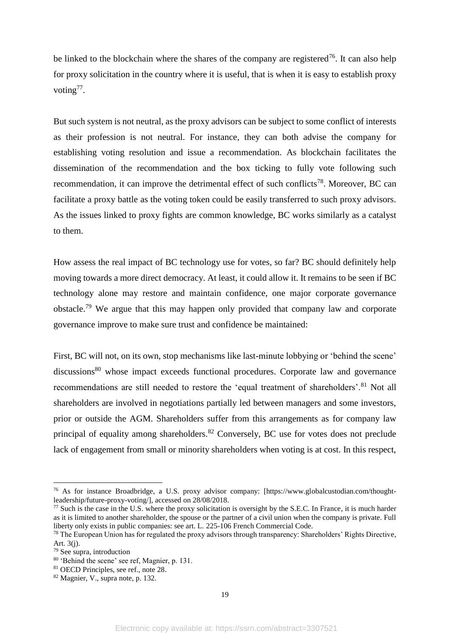be linked to the blockchain where the shares of the company are registered<sup>76</sup>. It can also help for proxy solicitation in the country where it is useful, that is when it is easy to establish proxy voting $77$ .

But such system is not neutral, as the proxy advisors can be subject to some conflict of interests as their profession is not neutral. For instance, they can both advise the company for establishing voting resolution and issue a recommendation. As blockchain facilitates the dissemination of the recommendation and the box ticking to fully vote following such recommendation, it can improve the detrimental effect of such conflicts<sup>78</sup>. Moreover, BC can facilitate a proxy battle as the voting token could be easily transferred to such proxy advisors. As the issues linked to proxy fights are common knowledge, BC works similarly as a catalyst to them.

How assess the real impact of BC technology use for votes, so far? BC should definitely help moving towards a more direct democracy. At least, it could allow it. It remains to be seen if BC technology alone may restore and maintain confidence, one major corporate governance obstacle.<sup>79</sup> We argue that this may happen only provided that company law and corporate governance improve to make sure trust and confidence be maintained:

First, BC will not, on its own, stop mechanisms like last-minute lobbying or 'behind the scene' discussions<sup>80</sup> whose impact exceeds functional procedures. Corporate law and governance recommendations are still needed to restore the 'equal treatment of shareholders'.<sup>81</sup> Not all shareholders are involved in negotiations partially led between managers and some investors, prior or outside the AGM. Shareholders suffer from this arrangements as for company law principal of equality among shareholders.<sup>82</sup> Conversely, BC use for votes does not preclude lack of engagement from small or minority shareholders when voting is at cost. In this respect,

<sup>76</sup> As for instance Broadbridge, a U.S. proxy advisor company: [https://www.globalcustodian.com/thoughtleadership/future-proxy-voting/], accessed on 28/08/2018.

 $77$  Such is the case in the U.S. where the proxy solicitation is oversight by the S.E.C. In France, it is much harder as it is limited to another shareholder, the spouse or the partner of a civil union when the company is private. Full liberty only exists in public companies: see art. L. 225-106 French Commercial Code.

 $78$  The European Union has for regulated the proxy advisors through transparency: Shareholders' Rights Directive, Art. 3(j).

<sup>79</sup> See supra, introduction

<sup>80</sup> 'Behind the scene' see ref, Magnier, p. 131.

<sup>81</sup> OECD Principles, see ref., note 28.

<sup>82</sup> Magnier, V., supra note, p. 132.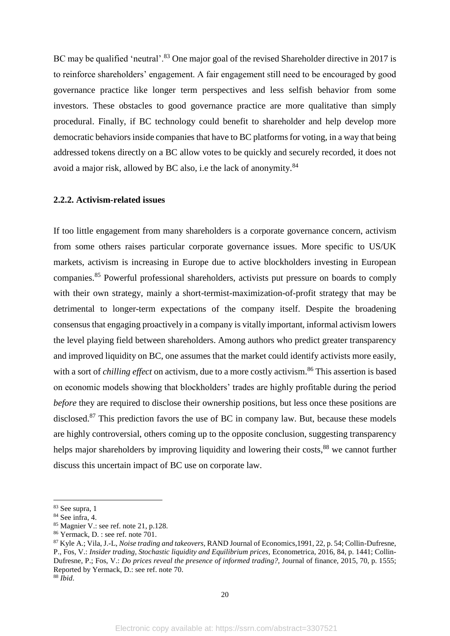BC may be qualified 'neutral'.<sup>83</sup> One major goal of the revised Shareholder directive in 2017 is to reinforce shareholders' engagement. A fair engagement still need to be encouraged by good governance practice like longer term perspectives and less selfish behavior from some investors. These obstacles to good governance practice are more qualitative than simply procedural. Finally, if BC technology could benefit to shareholder and help develop more democratic behaviors inside companies that have to BC platforms for voting, in a way that being addressed tokens directly on a BC allow votes to be quickly and securely recorded, it does not avoid a major risk, allowed by BC also, i.e the lack of anonymity.<sup>84</sup>

#### **2.2.2. Activism-related issues**

If too little engagement from many shareholders is a corporate governance concern, activism from some others raises particular corporate governance issues. More specific to US/UK markets, activism is increasing in Europe due to active blockholders investing in European companies.<sup>85</sup> Powerful professional shareholders, activists put pressure on boards to comply with their own strategy, mainly a short-termist-maximization-of-profit strategy that may be detrimental to longer-term expectations of the company itself. Despite the broadening consensus that engaging proactively in a company is vitally important, informal activism lowers the level playing field between shareholders. Among authors who predict greater transparency and improved liquidity on BC, one assumes that the market could identify activists more easily, with a sort of *chilling effect* on activism, due to a more costly activism.<sup>86</sup> This assertion is based on economic models showing that blockholders' trades are highly profitable during the period *before* they are required to disclose their ownership positions, but less once these positions are disclosed.<sup>87</sup> This prediction favors the use of BC in company law. But, because these models are highly controversial, others coming up to the opposite conclusion, suggesting transparency helps major shareholders by improving liquidity and lowering their costs,<sup>88</sup> we cannot further discuss this uncertain impact of BC use on corporate law.

<sup>83</sup> See supra, 1

 $84$  See infra, 4.

<sup>85</sup> Magnier V.: see ref. note 21, p.128.

<sup>&</sup>lt;sup>86</sup> Yermack, D. : see ref. note 701.

<sup>87</sup> Kyle A.; Vila, J.-L, *Noise trading and takeovers,* RAND Journal of Economics,1991, 22, p. 54; Collin-Dufresne, P., Fos, V.: *Insider trading, Stochastic liquidity and Equilibrium prices,* Econometrica, 2016, 84, p. 1441; Collin-Dufresne, P.; Fos, V.: *Do prices reveal the presence of informed trading?,* Journal of finance, 2015, 70, p. 1555; Reported by Yermack, D.: see ref. note 70. <sup>88</sup> *Ibid*.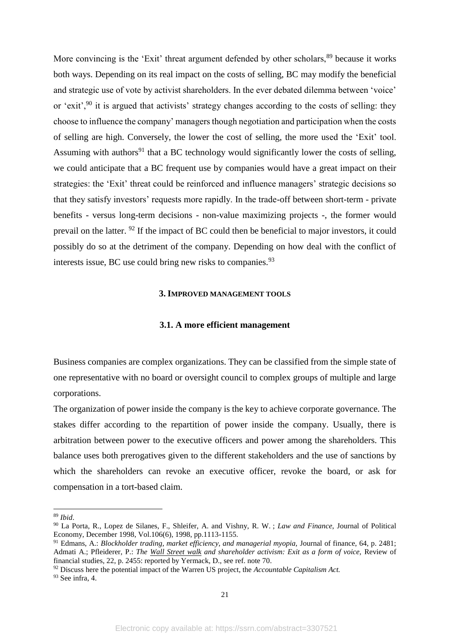More convincing is the 'Exit' threat argument defended by other scholars, $89$  because it works both ways. Depending on its real impact on the costs of selling, BC may modify the beneficial and strategic use of vote by activist shareholders. In the ever debated dilemma between 'voice' or 'exit',  $90$  it is argued that activists' strategy changes according to the costs of selling: they choose to influence the company' managers though negotiation and participation when the costs of selling are high. Conversely, the lower the cost of selling, the more used the 'Exit' tool. Assuming with authors<sup>91</sup> that a BC technology would significantly lower the costs of selling, we could anticipate that a BC frequent use by companies would have a great impact on their strategies: the 'Exit' threat could be reinforced and influence managers' strategic decisions so that they satisfy investors' requests more rapidly. In the trade-off between short-term - private benefits - versus long-term decisions - non-value maximizing projects -, the former would prevail on the latter. <sup>92</sup> If the impact of BC could then be beneficial to major investors, it could possibly do so at the detriment of the company. Depending on how deal with the conflict of interests issue, BC use could bring new risks to companies. $93$ 

#### **3. IMPROVED MANAGEMENT TOOLS**

#### **3.1. A more efficient management**

Business companies are complex organizations. They can be classified from the simple state of one representative with no board or oversight council to complex groups of multiple and large corporations.

The organization of power inside the company is the key to achieve corporate governance. The stakes differ according to the repartition of power inside the company. Usually, there is arbitration between power to the executive officers and power among the shareholders. This balance uses both prerogatives given to the different stakeholders and the use of sanctions by which the shareholders can revoke an executive officer, revoke the board, or ask for compensation in a tort-based claim.

<sup>89</sup> *Ibid*.

<sup>90</sup> La Porta, R., Lopez de Silanes, F., Shleifer, A. and Vishny, R. W. ; *Law and Finance*, Journal of Political Economy, December 1998, Vol.106(6), 1998, pp.1113-1155.

<sup>91</sup> Edmans, A.: *Blockholder trading, market efficiency, and managerial myopia,* Journal of finance, 64, p. 2481; Admati A.; Pfleiderer, P.: *The Wall Street walk and shareholder activism: Exit as a form of voice,* Review of financial studies, 22, p. 2455: reported by Yermack, D., see ref. note 70.

<sup>92</sup> Discuss here the potential impact of the Warren US project, the *Accountable Capitalism Act.*

<sup>93</sup> See infra, 4.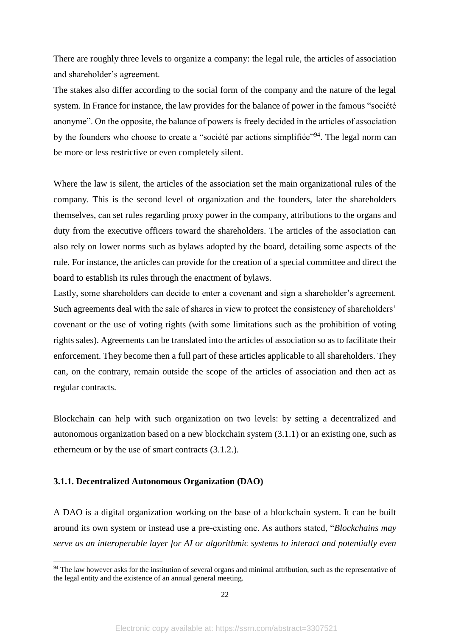There are roughly three levels to organize a company: the legal rule, the articles of association and shareholder's agreement.

The stakes also differ according to the social form of the company and the nature of the legal system. In France for instance, the law provides for the balance of power in the famous "société anonyme". On the opposite, the balance of powers is freely decided in the articles of association by the founders who choose to create a "société par actions simplifiée"<sup>94</sup>. The legal norm can be more or less restrictive or even completely silent.

Where the law is silent, the articles of the association set the main organizational rules of the company. This is the second level of organization and the founders, later the shareholders themselves, can set rules regarding proxy power in the company, attributions to the organs and duty from the executive officers toward the shareholders. The articles of the association can also rely on lower norms such as bylaws adopted by the board, detailing some aspects of the rule. For instance, the articles can provide for the creation of a special committee and direct the board to establish its rules through the enactment of bylaws.

Lastly, some shareholders can decide to enter a covenant and sign a shareholder's agreement. Such agreements deal with the sale of shares in view to protect the consistency of shareholders' covenant or the use of voting rights (with some limitations such as the prohibition of voting rights sales). Agreements can be translated into the articles of association so as to facilitate their enforcement. They become then a full part of these articles applicable to all shareholders. They can, on the contrary, remain outside the scope of the articles of association and then act as regular contracts.

Blockchain can help with such organization on two levels: by setting a decentralized and autonomous organization based on a new blockchain system (3.1.1) or an existing one, such as etherneum or by the use of smart contracts (3.1.2.).

#### **3.1.1. Decentralized Autonomous Organization (DAO)**

**.** 

A DAO is a digital organization working on the base of a blockchain system. It can be built around its own system or instead use a pre-existing one. As authors stated, "*Blockchains may serve as an interoperable layer for AI or algorithmic systems to interact and potentially even* 

<sup>&</sup>lt;sup>94</sup> The law however asks for the institution of several organs and minimal attribution, such as the representative of the legal entity and the existence of an annual general meeting.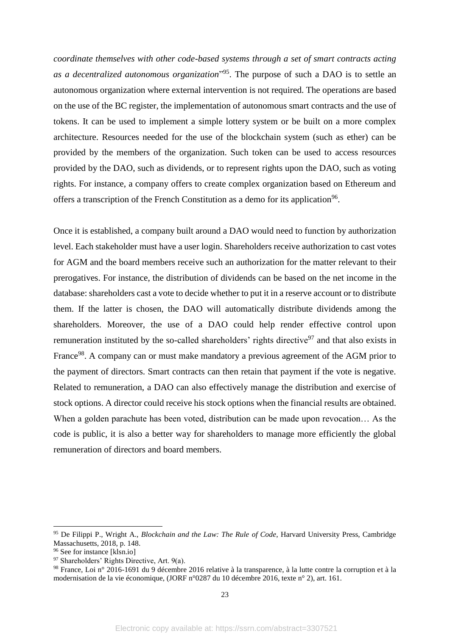*coordinate themselves with other code-based systems through a set of smart contracts acting as a decentralized autonomous organization*" <sup>95</sup>. The purpose of such a DAO is to settle an autonomous organization where external intervention is not required. The operations are based on the use of the BC register, the implementation of autonomous smart contracts and the use of tokens. It can be used to implement a simple lottery system or be built on a more complex architecture. Resources needed for the use of the blockchain system (such as ether) can be provided by the members of the organization. Such token can be used to access resources provided by the DAO, such as dividends, or to represent rights upon the DAO, such as voting rights. For instance, a company offers to create complex organization based on Ethereum and offers a transcription of the French Constitution as a demo for its application<sup>96</sup>.

Once it is established, a company built around a DAO would need to function by authorization level. Each stakeholder must have a user login. Shareholders receive authorization to cast votes for AGM and the board members receive such an authorization for the matter relevant to their prerogatives. For instance, the distribution of dividends can be based on the net income in the database: shareholders cast a vote to decide whether to put it in a reserve account or to distribute them. If the latter is chosen, the DAO will automatically distribute dividends among the shareholders. Moreover, the use of a DAO could help render effective control upon remuneration instituted by the so-called shareholders' rights directive<sup>97</sup> and that also exists in France<sup>98</sup>. A company can or must make mandatory a previous agreement of the AGM prior to the payment of directors. Smart contracts can then retain that payment if the vote is negative. Related to remuneration, a DAO can also effectively manage the distribution and exercise of stock options. A director could receive his stock options when the financial results are obtained. When a golden parachute has been voted, distribution can be made upon revocation... As the code is public, it is also a better way for shareholders to manage more efficiently the global remuneration of directors and board members.

 $\overline{\phantom{a}}$ 

<sup>95</sup> De Filippi P., Wright A., *Blockchain and the Law: The Rule of Code*, Harvard University Press, Cambridge Massachusetts, 2018, p. 148.

<sup>96</sup> See for instance [klsn.io]

<sup>97</sup> Shareholders' Rights Directive, Art. 9(a).

<sup>98</sup> France, Loi n° 2016-1691 du 9 décembre 2016 relative à la transparence, à la lutte contre la corruption et à la modernisation de la vie économique, (JORF n°0287 du 10 décembre 2016, texte n° 2), art. 161.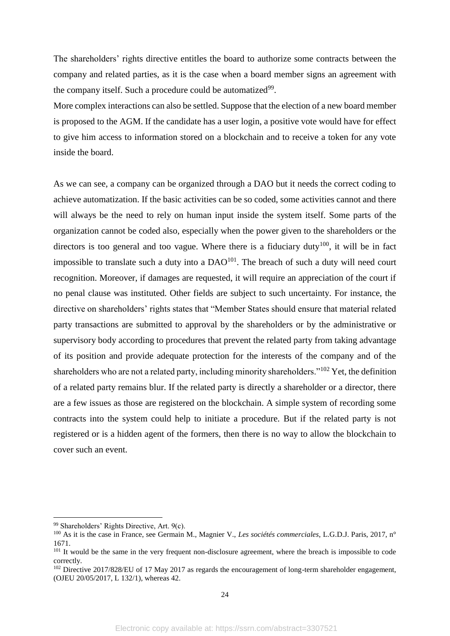The shareholders' rights directive entitles the board to authorize some contracts between the company and related parties, as it is the case when a board member signs an agreement with the company itself. Such a procedure could be automatized<sup>99</sup>.

More complex interactions can also be settled. Suppose that the election of a new board member is proposed to the AGM. If the candidate has a user login, a positive vote would have for effect to give him access to information stored on a blockchain and to receive a token for any vote inside the board.

As we can see, a company can be organized through a DAO but it needs the correct coding to achieve automatization. If the basic activities can be so coded, some activities cannot and there will always be the need to rely on human input inside the system itself. Some parts of the organization cannot be coded also, especially when the power given to the shareholders or the directors is too general and too vague. Where there is a fiduciary duty<sup>100</sup>, it will be in fact impossible to translate such a duty into a  $DAO^{101}$ . The breach of such a duty will need court recognition. Moreover, if damages are requested, it will require an appreciation of the court if no penal clause was instituted. Other fields are subject to such uncertainty. For instance, the directive on shareholders' rights states that "Member States should ensure that material related party transactions are submitted to approval by the shareholders or by the administrative or supervisory body according to procedures that prevent the related party from taking advantage of its position and provide adequate protection for the interests of the company and of the shareholders who are not a related party, including minority shareholders."<sup>102</sup> Yet, the definition of a related party remains blur. If the related party is directly a shareholder or a director, there are a few issues as those are registered on the blockchain. A simple system of recording some contracts into the system could help to initiate a procedure. But if the related party is not registered or is a hidden agent of the formers, then there is no way to allow the blockchain to cover such an event.

<sup>99</sup> Shareholders' Rights Directive, Art. 9(c).

<sup>100</sup> As it is the case in France, see Germain M., Magnier V., *Les sociétés commerciales*, L.G.D.J. Paris, 2017, n° 1671.

<sup>&</sup>lt;sup>101</sup> It would be the same in the very frequent non-disclosure agreement, where the breach is impossible to code correctly.

 $102$  Directive 2017/828/EU of 17 May 2017 as regards the encouragement of long-term shareholder engagement, (OJEU 20/05/2017, L 132/1), whereas 42.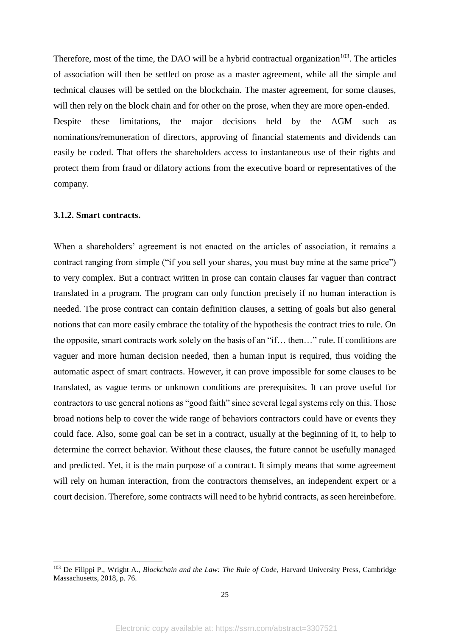Therefore, most of the time, the DAO will be a hybrid contractual organization<sup>103</sup>. The articles of association will then be settled on prose as a master agreement, while all the simple and technical clauses will be settled on the blockchain. The master agreement, for some clauses, will then rely on the block chain and for other on the prose, when they are more open-ended. Despite these limitations, the major decisions held by the AGM such as nominations/remuneration of directors, approving of financial statements and dividends can easily be coded. That offers the shareholders access to instantaneous use of their rights and protect them from fraud or dilatory actions from the executive board or representatives of the company.

#### **3.1.2. Smart contracts.**

**.** 

When a shareholders' agreement is not enacted on the articles of association, it remains a contract ranging from simple ("if you sell your shares, you must buy mine at the same price") to very complex. But a contract written in prose can contain clauses far vaguer than contract translated in a program. The program can only function precisely if no human interaction is needed. The prose contract can contain definition clauses, a setting of goals but also general notions that can more easily embrace the totality of the hypothesis the contract tries to rule. On the opposite, smart contracts work solely on the basis of an "if… then…" rule. If conditions are vaguer and more human decision needed, then a human input is required, thus voiding the automatic aspect of smart contracts. However, it can prove impossible for some clauses to be translated, as vague terms or unknown conditions are prerequisites. It can prove useful for contractors to use general notions as "good faith" since several legal systems rely on this. Those broad notions help to cover the wide range of behaviors contractors could have or events they could face. Also, some goal can be set in a contract, usually at the beginning of it, to help to determine the correct behavior. Without these clauses, the future cannot be usefully managed and predicted. Yet, it is the main purpose of a contract. It simply means that some agreement will rely on human interaction, from the contractors themselves, an independent expert or a court decision. Therefore, some contracts will need to be hybrid contracts, as seen hereinbefore.

<sup>103</sup> De Filippi P., Wright A., *Blockchain and the Law: The Rule of Code*, Harvard University Press, Cambridge Massachusetts, 2018, p. 76.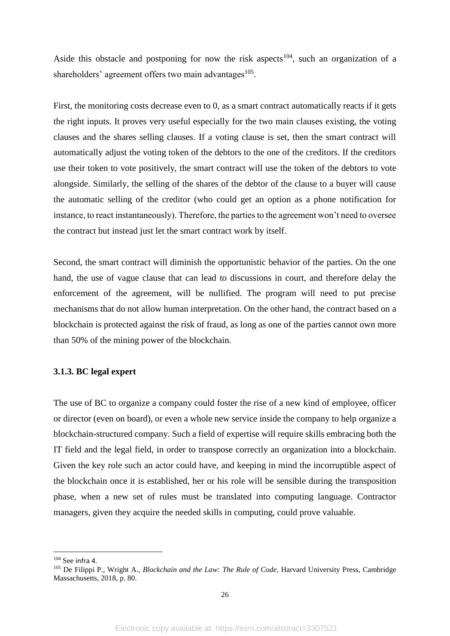Aside this obstacle and postponing for now the risk aspects<sup>104</sup>, such an organization of a shareholders' agreement offers two main advantages<sup>105</sup>.

First, the monitoring costs decrease even to 0, as a smart contract automatically reacts if it gets the right inputs. It proves very useful especially for the two main clauses existing, the voting clauses and the shares selling clauses. If a voting clause is set, then the smart contract will automatically adjust the voting token of the debtors to the one of the creditors. If the creditors use their token to vote positively, the smart contract will use the token of the debtors to vote alongside. Similarly, the selling of the shares of the debtor of the clause to a buyer will cause the automatic selling of the creditor (who could get an option as a phone notification for instance, to react instantaneously). Therefore, the parties to the agreement won't need to oversee the contract but instead just let the smart contract work by itself.

Second, the smart contract will diminish the opportunistic behavior of the parties. On the one hand, the use of vague clause that can lead to discussions in court, and therefore delay the enforcement of the agreement, will be nullified. The program will need to put precise mechanisms that do not allow human interpretation. On the other hand, the contract based on a blockchain is protected against the risk of fraud, as long as one of the parties cannot own more than 50% of the mining power of the blockchain.

# **3.1.3. BC legal expert**

The use of BC to organize a company could foster the rise of a new kind of employee, officer or director (even on board), or even a whole new service inside the company to help organize a blockchain-structured company. Such a field of expertise will require skills embracing both the IT field and the legal field, in order to transpose correctly an organization into a blockchain. Given the key role such an actor could have, and keeping in mind the incorruptible aspect of the blockchain once it is established, her or his role will be sensible during the transposition phase, when a new set of rules must be translated into computing language. Contractor managers, given they acquire the needed skills in computing, could prove valuable.

 $\overline{\phantom{a}}$ 

 $104$  See infra 4.

<sup>105</sup> De Filippi P., Wright A., *Blockchain and the Law: The Rule of Code*, Harvard University Press, Cambridge Massachusetts, 2018, p. 80.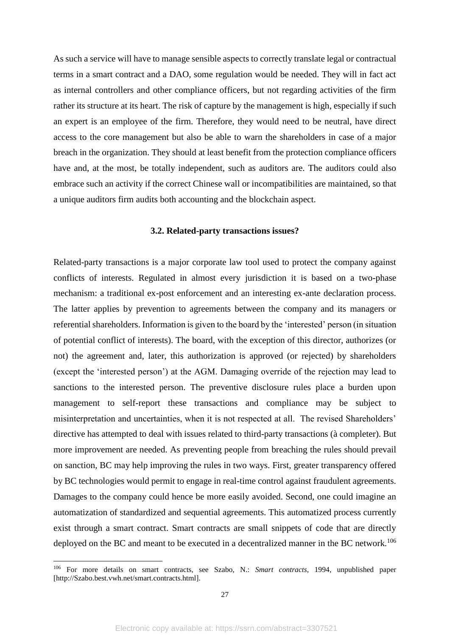As such a service will have to manage sensible aspects to correctly translate legal or contractual terms in a smart contract and a DAO, some regulation would be needed. They will in fact act as internal controllers and other compliance officers, but not regarding activities of the firm rather its structure at its heart. The risk of capture by the management is high, especially if such an expert is an employee of the firm. Therefore, they would need to be neutral, have direct access to the core management but also be able to warn the shareholders in case of a major breach in the organization. They should at least benefit from the protection compliance officers have and, at the most, be totally independent, such as auditors are. The auditors could also embrace such an activity if the correct Chinese wall or incompatibilities are maintained, so that a unique auditors firm audits both accounting and the blockchain aspect.

#### **3.2. Related-party transactions issues?**

Related-party transactions is a major corporate law tool used to protect the company against conflicts of interests. Regulated in almost every jurisdiction it is based on a two-phase mechanism: a traditional ex-post enforcement and an interesting ex-ante declaration process. The latter applies by prevention to agreements between the company and its managers or referential shareholders. Information is given to the board by the 'interested' person (in situation of potential conflict of interests). The board, with the exception of this director, authorizes (or not) the agreement and, later, this authorization is approved (or rejected) by shareholders (except the 'interested person') at the AGM. Damaging override of the rejection may lead to sanctions to the interested person. The preventive disclosure rules place a burden upon management to self-report these transactions and compliance may be subject to misinterpretation and uncertainties, when it is not respected at all. The revised Shareholders' directive has attempted to deal with issues related to third-party transactions (à completer). But more improvement are needed. As preventing people from breaching the rules should prevail on sanction, BC may help improving the rules in two ways. First, greater transparency offered by BC technologies would permit to engage in real-time control against fraudulent agreements. Damages to the company could hence be more easily avoided. Second, one could imagine an automatization of standardized and sequential agreements. This automatized process currently exist through a smart contract. Smart contracts are small snippets of code that are directly deployed on the BC and meant to be executed in a decentralized manner in the BC network.<sup>106</sup>

<sup>106</sup> For more details on smart contracts, see Szabo, N.: *Smart contracts*, 1994, unpublished paper [http://Szabo.best.vwh.net/smart.contracts.html].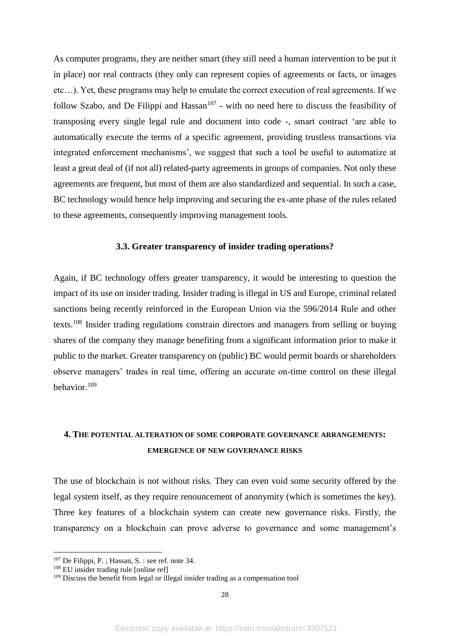As computer programs, they are neither smart (they still need a human intervention to be put it in place) nor real contracts (they only can represent copies of agreements or facts, or images etc…). Yet, these programs may help to emulate the correct execution of real agreements. If we follow Szabo, and De Filippi and Hassan<sup>107</sup> - with no need here to discuss the feasibility of transposing every single legal rule and document into code -, smart contract 'are able to automatically execute the terms of a specific agreement, providing trustless transactions via integrated enforcement mechanisms', we suggest that such a tool be useful to automatize at least a great deal of (if not all) related-party agreements in groups of companies. Not only these agreements are frequent, but most of them are also standardized and sequential. In such a case, BC technology would hence help improving and securing the ex-ante phase of the rules related to these agreements, consequently improving management tools.

# **3.3. Greater transparency of insider trading operations?**

Again, if BC technology offers greater transparency, it would be interesting to question the impact of its use on insider trading. Insider trading is illegal in US and Europe, criminal related sanctions being recently reinforced in the European Union via the 596/2014 Rule and other texts.<sup>108</sup> Insider trading regulations constrain directors and managers from selling or buying shares of the company they manage benefiting from a significant information prior to make it public to the market. Greater transparency on (public) BC would permit boards or shareholders observe managers' trades in real time, offering an accurate on-time control on these illegal behavior.<sup>109</sup>

# **4. THE POTENTIAL ALTERATION OF SOME CORPORATE GOVERNANCE ARRANGEMENTS: EMERGENCE OF NEW GOVERNANCE RISKS**

The use of blockchain is not without risks. They can even void some security offered by the legal system itself, as they require renouncement of anonymity (which is sometimes the key). Three key features of a blockchain system can create new governance risks. Firstly, the transparency on a blockchain can prove adverse to governance and some management's

<sup>107</sup> De Filippi, P. ; Hassan, S. : see ref. note 34.

<sup>&</sup>lt;sup>108</sup> EU insider trading rule [online ref]

<sup>&</sup>lt;sup>109</sup> Discuss the benefit from legal or illegal insider trading as a compensation tool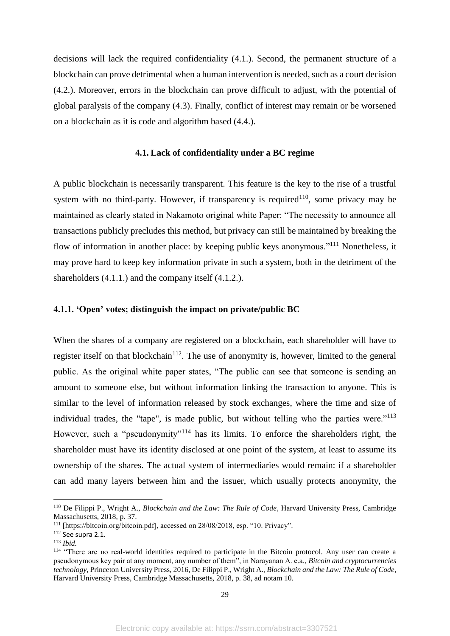decisions will lack the required confidentiality (4.1.). Second, the permanent structure of a blockchain can prove detrimental when a human intervention is needed, such as a court decision (4.2.). Moreover, errors in the blockchain can prove difficult to adjust, with the potential of global paralysis of the company (4.3). Finally, conflict of interest may remain or be worsened on a blockchain as it is code and algorithm based (4.4.).

#### **4.1. Lack of confidentiality under a BC regime**

A public blockchain is necessarily transparent. This feature is the key to the rise of a trustful system with no third-party. However, if transparency is required<sup>110</sup>, some privacy may be maintained as clearly stated in Nakamoto original white Paper: "The necessity to announce all transactions publicly precludes this method, but privacy can still be maintained by breaking the flow of information in another place: by keeping public keys anonymous."<sup>111</sup> Nonetheless, it may prove hard to keep key information private in such a system, both in the detriment of the shareholders  $(4.1.1.)$  and the company itself  $(4.1.2.)$ .

#### **4.1.1. 'Open' votes; distinguish the impact on private/public BC**

When the shares of a company are registered on a blockchain, each shareholder will have to register itself on that blockchain<sup>112</sup>. The use of anonymity is, however, limited to the general public. As the original white paper states, "The public can see that someone is sending an amount to someone else, but without information linking the transaction to anyone. This is similar to the level of information released by stock exchanges, where the time and size of individual trades, the "tape", is made public, but without telling who the parties were."<sup>113</sup> However, such a "pseudonymity"<sup>114</sup> has its limits. To enforce the shareholders right, the shareholder must have its identity disclosed at one point of the system, at least to assume its ownership of the shares. The actual system of intermediaries would remain: if a shareholder can add many layers between him and the issuer, which usually protects anonymity, the

<sup>110</sup> De Filippi P., Wright A., *Blockchain and the Law: The Rule of Code*, Harvard University Press, Cambridge Massachusetts, 2018, p. 37.

<sup>&</sup>lt;sup>111</sup> [https://bitcoin.org/bitcoin.pdf], accessed on  $28/08/2018$ , esp. "10. Privacy".

 $112$  See supra 2.1.

<sup>113</sup> *Ibid.*

<sup>&</sup>lt;sup>114</sup> "There are no real-world identities required to participate in the Bitcoin protocol. Any user can create a pseudonymous key pair at any moment, any number of them", in Narayanan A. e.a., *Bitcoin and cryptocurrencies technology*, Princeton University Press, 2016, De Filippi P., Wright A., *Blockchain and the Law: The Rule of Code*, Harvard University Press, Cambridge Massachusetts, 2018, p. 38, ad notam 10.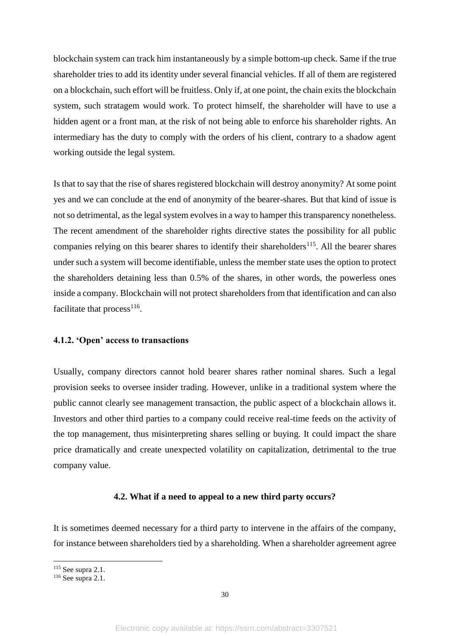blockchain system can track him instantaneously by a simple bottom-up check. Same if the true shareholder tries to add its identity under several financial vehicles. If all of them are registered on a blockchain, such effort will be fruitless. Only if, at one point, the chain exits the blockchain system, such stratagem would work. To protect himself, the shareholder will have to use a hidden agent or a front man, at the risk of not being able to enforce his shareholder rights. An intermediary has the duty to comply with the orders of his client, contrary to a shadow agent working outside the legal system.

Is that to say that the rise of shares registered blockchain will destroy anonymity? At some point yes and we can conclude at the end of anonymity of the bearer-shares. But that kind of issue is not so detrimental, as the legal system evolves in a way to hamper this transparency nonetheless. The recent amendment of the shareholder rights directive states the possibility for all public companies relying on this bearer shares to identify their shareholders<sup>115</sup>. All the bearer shares under such a system will become identifiable, unless the member state uses the option to protect the shareholders detaining less than 0.5% of the shares, in other words, the powerless ones inside a company. Blockchain will not protect shareholders from that identification and can also facilitate that process<sup>116</sup>.

# **4.1.2. 'Open' access to transactions**

Usually, company directors cannot hold bearer shares rather nominal shares. Such a legal provision seeks to oversee insider trading. However, unlike in a traditional system where the public cannot clearly see management transaction, the public aspect of a blockchain allows it. Investors and other third parties to a company could receive real-time feeds on the activity of the top management, thus misinterpreting shares selling or buying. It could impact the share price dramatically and create unexpected volatility on capitalization, detrimental to the true company value.

# **4.2. What if a need to appeal to a new third party occurs?**

It is sometimes deemed necessary for a third party to intervene in the affairs of the company, for instance between shareholders tied by a shareholding. When a shareholder agreement agree

<sup>&</sup>lt;sup>115</sup> See supra 2.1.

 $116$  See supra 2.1.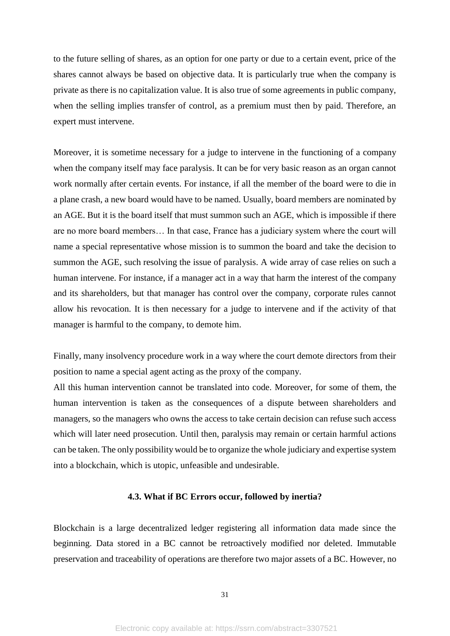to the future selling of shares, as an option for one party or due to a certain event, price of the shares cannot always be based on objective data. It is particularly true when the company is private as there is no capitalization value. It is also true of some agreements in public company, when the selling implies transfer of control, as a premium must then by paid. Therefore, an expert must intervene.

Moreover, it is sometime necessary for a judge to intervene in the functioning of a company when the company itself may face paralysis. It can be for very basic reason as an organ cannot work normally after certain events. For instance, if all the member of the board were to die in a plane crash, a new board would have to be named. Usually, board members are nominated by an AGE. But it is the board itself that must summon such an AGE, which is impossible if there are no more board members… In that case, France has a judiciary system where the court will name a special representative whose mission is to summon the board and take the decision to summon the AGE, such resolving the issue of paralysis. A wide array of case relies on such a human intervene. For instance, if a manager act in a way that harm the interest of the company and its shareholders, but that manager has control over the company, corporate rules cannot allow his revocation. It is then necessary for a judge to intervene and if the activity of that manager is harmful to the company, to demote him.

Finally, many insolvency procedure work in a way where the court demote directors from their position to name a special agent acting as the proxy of the company.

All this human intervention cannot be translated into code. Moreover, for some of them, the human intervention is taken as the consequences of a dispute between shareholders and managers, so the managers who owns the access to take certain decision can refuse such access which will later need prosecution. Until then, paralysis may remain or certain harmful actions can be taken. The only possibility would be to organize the whole judiciary and expertise system into a blockchain, which is utopic, unfeasible and undesirable.

#### **4.3. What if BC Errors occur, followed by inertia?**

Blockchain is a large decentralized ledger registering all information data made since the beginning. Data stored in a BC cannot be retroactively modified nor deleted. Immutable preservation and traceability of operations are therefore two major assets of a BC. However, no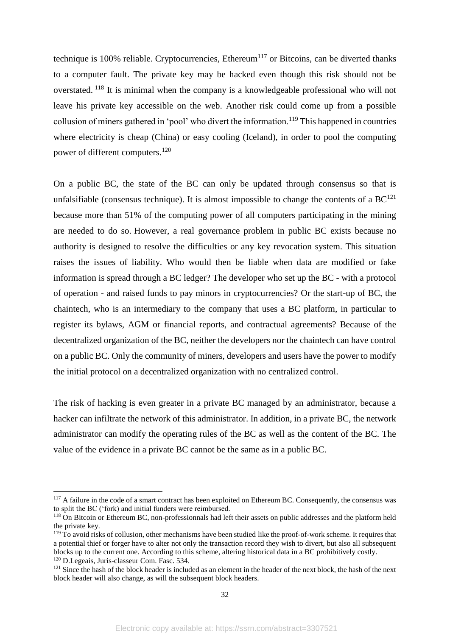technique is 100% reliable. Cryptocurrencies, Ethereum<sup>117</sup> or Bitcoins, can be diverted thanks to a computer fault. The private key may be hacked even though this risk should not be overstated. <sup>118</sup> It is minimal when the company is a knowledgeable professional who will not leave his private key accessible on the web. Another risk could come up from a possible collusion of miners gathered in 'pool' who divert the information.<sup>119</sup> This happened in countries where electricity is cheap (China) or easy cooling (Iceland), in order to pool the computing power of different computers.<sup>120</sup>

On a public BC, the state of the BC can only be updated through consensus so that is unfalsifiable (consensus technique). It is almost impossible to change the contents of a  $BC^{121}$ because more than 51% of the computing power of all computers participating in the mining are needed to do so. However, a real governance problem in public BC exists because no authority is designed to resolve the difficulties or any key revocation system. This situation raises the issues of liability. Who would then be liable when data are modified or fake information is spread through a BC ledger? The developer who set up the BC - with a protocol of operation - and raised funds to pay minors in cryptocurrencies? Or the start-up of BC, the chaintech, who is an intermediary to the company that uses a BC platform, in particular to register its bylaws, AGM or financial reports, and contractual agreements? Because of the decentralized organization of the BC, neither the developers nor the chaintech can have control on a public BC. Only the community of miners, developers and users have the power to modify the initial protocol on a decentralized organization with no centralized control.

The risk of hacking is even greater in a private BC managed by an administrator, because a hacker can infiltrate the network of this administrator. In addition, in a private BC, the network administrator can modify the operating rules of the BC as well as the content of the BC. The value of the evidence in a private BC cannot be the same as in a public BC.

<sup>&</sup>lt;sup>117</sup> A failure in the code of a smart contract has been exploited on Ethereum BC. Consequently, the consensus was to split the BC ('fork) and initial funders were reimbursed.

<sup>118</sup> On Bitcoin or Ethereum BC, non-professionnals had left their assets on public addresses and the platform held the private key.

 $119$  To avoid risks of collusion, other mechanisms have been studied like the proof-of-work scheme. It requires that a potential thief or forger have to alter not only the transaction record they wish to divert, but also all subsequent blocks up to the current one. According to this scheme, altering historical data in a BC prohibitively costly. <sup>120</sup> D.Legeais, Juris-classeur Com. Fasc. 534.

 $121$  Since the hash of the block header is included as an element in the header of the next block, the hash of the next block header will also change, as will the subsequent block headers.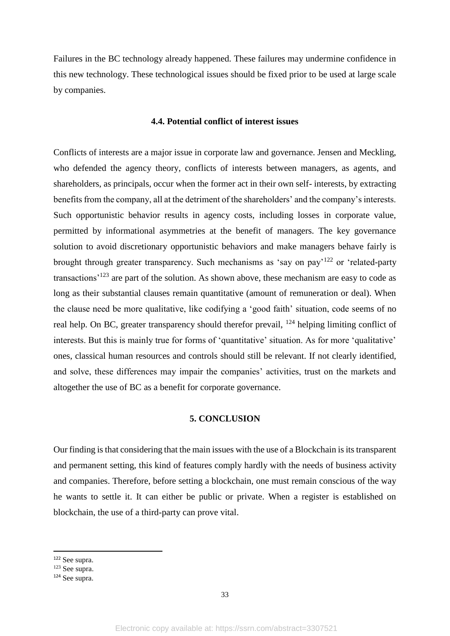Failures in the BC technology already happened. These failures may undermine confidence in this new technology. These technological issues should be fixed prior to be used at large scale by companies.

# **4.4. Potential conflict of interest issues**

Conflicts of interests are a major issue in corporate law and governance. Jensen and Meckling, who defended the agency theory, conflicts of interests between managers, as agents, and shareholders, as principals, occur when the former act in their own self- interests, by extracting benefits from the company, all at the detriment of the shareholders' and the company's interests. Such opportunistic behavior results in agency costs, including losses in corporate value, permitted by informational asymmetries at the benefit of managers. The key governance solution to avoid discretionary opportunistic behaviors and make managers behave fairly is brought through greater transparency. Such mechanisms as 'say on pay'<sup>122</sup> or 'related-party transactions<sup>'123</sup> are part of the solution. As shown above, these mechanism are easy to code as long as their substantial clauses remain quantitative (amount of remuneration or deal). When the clause need be more qualitative, like codifying a 'good faith' situation, code seems of no real help. On BC, greater transparency should therefor prevail, <sup>124</sup> helping limiting conflict of interests. But this is mainly true for forms of 'quantitative' situation. As for more 'qualitative' ones, classical human resources and controls should still be relevant. If not clearly identified, and solve, these differences may impair the companies' activities, trust on the markets and altogether the use of BC as a benefit for corporate governance.

# **5. CONCLUSION**

Our finding isthat considering that the main issues with the use of a Blockchain is its transparent and permanent setting, this kind of features comply hardly with the needs of business activity and companies. Therefore, before setting a blockchain, one must remain conscious of the way he wants to settle it. It can either be public or private. When a register is established on blockchain, the use of a third-party can prove vital.

 $\overline{\phantom{a}}$ 

<sup>122</sup> See supra.

<sup>123</sup> See supra.

<sup>124</sup> See supra.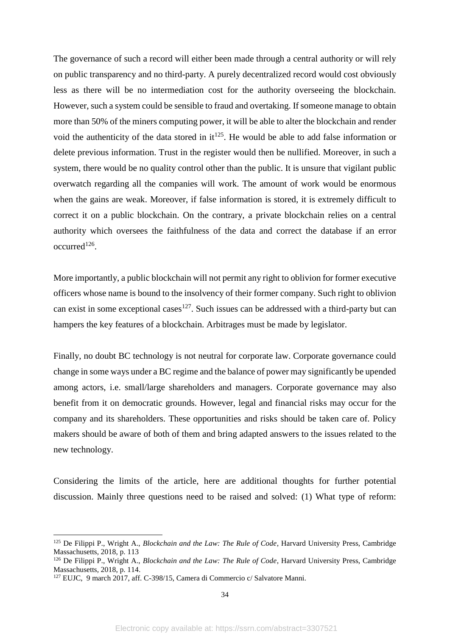The governance of such a record will either been made through a central authority or will rely on public transparency and no third-party. A purely decentralized record would cost obviously less as there will be no intermediation cost for the authority overseeing the blockchain. However, such a system could be sensible to fraud and overtaking. If someone manage to obtain more than 50% of the miners computing power, it will be able to alter the blockchain and render void the authenticity of the data stored in  $it^{125}$ . He would be able to add false information or delete previous information. Trust in the register would then be nullified. Moreover, in such a system, there would be no quality control other than the public. It is unsure that vigilant public overwatch regarding all the companies will work. The amount of work would be enormous when the gains are weak. Moreover, if false information is stored, it is extremely difficult to correct it on a public blockchain. On the contrary, a private blockchain relies on a central authority which oversees the faithfulness of the data and correct the database if an error  $occurred<sup>126</sup>$ .

More importantly, a public blockchain will not permit any right to oblivion for former executive officers whose name is bound to the insolvency of their former company. Such right to oblivion can exist in some exceptional cases<sup>127</sup>. Such issues can be addressed with a third-party but can hampers the key features of a blockchain. Arbitrages must be made by legislator.

Finally, no doubt BC technology is not neutral for corporate law. Corporate governance could change in some ways under a BC regime and the balance of power may significantly be upended among actors, i.e. small/large shareholders and managers. Corporate governance may also benefit from it on democratic grounds. However, legal and financial risks may occur for the company and its shareholders. These opportunities and risks should be taken care of. Policy makers should be aware of both of them and bring adapted answers to the issues related to the new technology.

Considering the limits of the article, here are additional thoughts for further potential discussion. Mainly three questions need to be raised and solved: (1) What type of reform:

<sup>125</sup> De Filippi P., Wright A., *Blockchain and the Law: The Rule of Code*, Harvard University Press, Cambridge Massachusetts, 2018, p. 113

<sup>126</sup> De Filippi P., Wright A., *Blockchain and the Law: The Rule of Code*, Harvard University Press, Cambridge Massachusetts, 2018, p. 114. <sup>127</sup> EUJC, 9 march 2017, aff. C-398/15, Camera di Commercio c/ Salvatore Manni.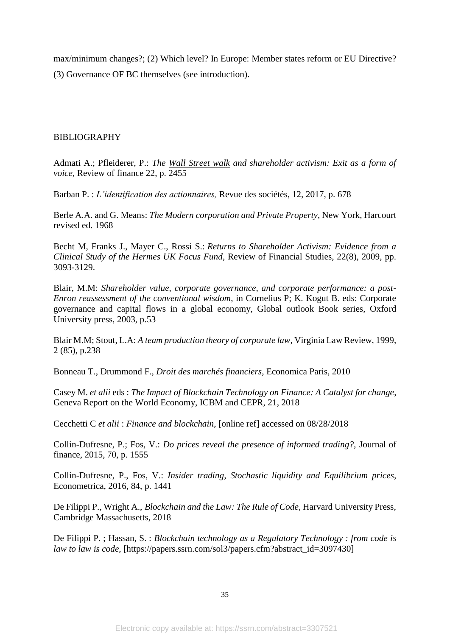max/minimum changes?; (2) Which level? In Europe: Member states reform or EU Directive? (3) Governance OF BC themselves (see introduction).

## BIBLIOGRAPHY

Admati A.; Pfleiderer, P.: *The Wall Street walk and shareholder activism: Exit as a form of voice,* Review of finance 22, p. 2455

Barban P. : *L'identification des actionnaires,* Revue des sociétés, 12, 2017, p. 678

Berle A.A. and G. Means: *The Modern corporation and Private Property*, New York, Harcourt revised ed. 1968

Becht M, Franks J., Mayer C., Rossi S.: *Returns to Shareholder Activism: Evidence from a Clinical Study of the Hermes UK Focus Fund*, Review of Financial Studies, 22(8), 2009, pp. 3093-3129.

Blair, M.M: *Shareholder value, corporate governance, and corporate performance: a post-Enron reassessment of the conventional wisdom*, in Cornelius P; K. Kogut B. eds: Corporate governance and capital flows in a global economy, Global outlook Book series, Oxford University press, 2003, p.53

Blair M.M; Stout, L.A: *A team production theory of corporate law*, Virginia Law Review, 1999, 2 (85), p.238

Bonneau T., Drummond F., *Droit des marchés financiers*, Economica Paris, 2010

Casey M. *et alii* eds : *The Impact of Blockchain Technology on Finance: A Catalyst for change*, Geneva Report on the World Economy, ICBM and CEPR, 21, 2018

Cecchetti C *et alii* : *Finance and blockchain*, [online ref] accessed on 08/28/2018

Collin-Dufresne, P.; Fos, V.: *Do prices reveal the presence of informed trading?,* Journal of finance, 2015, 70, p. 1555

Collin-Dufresne, P., Fos, V.: *Insider trading, Stochastic liquidity and Equilibrium prices,*  Econometrica, 2016, 84, p. 1441

De Filippi P., Wright A., *Blockchain and the Law: The Rule of Code*, Harvard University Press, Cambridge Massachusetts, 2018

De Filippi P. ; Hassan, S. : *Blockchain technology as a Regulatory Technology : from code is law to law is code,* [https://papers.ssrn.com/sol3/papers.cfm?abstract\_id=3097430]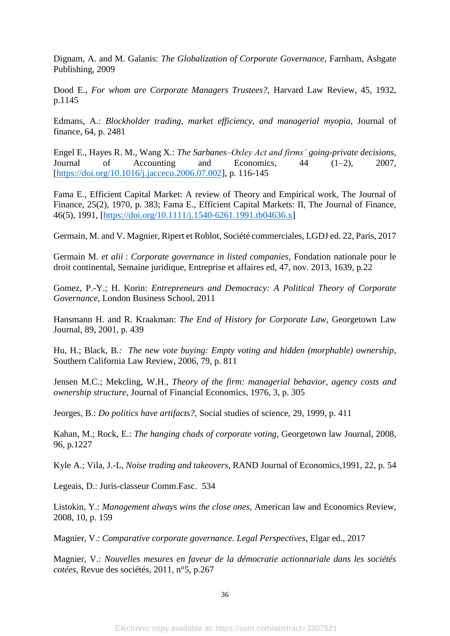Dignam, A. and M. Galanis: *The Globalization of Corporate Governance*, Farnham, Ashgate Publishing, 2009

Dood E., *For whom are Corporate Managers Trustees?,* Harvard Law Review, 45, 1932, p.1145

Edmans, A.: *Blockholder trading, market efficiency, and managerial myopia,* Journal of finance, 64, p. 2481

Engel E., Hayes R. M., Wang X.: *The Sarbanes–Oxley Act and firms' going-private decisions*, Journal of Accounting and Economics, 44 (1–2), 2007, [\[https://doi.org/10.1016/j.jacceco.2006.07.002\]](https://doi.org/10.1016/j.jacceco.2006.07.002), p. 116-145

Fama E., Efficient Capital Market: A review of Theory and Empirical work, The Journal of Finance, 25(2), 1970, p. 383; Fama E., Efficient Capital Markets: II, The Journal of Finance, 46(5), 1991, [\[https://doi.org/10.1111/j.1540-6261.1991.tb04636.x\]](https://doi.org/10.1111/j.1540-6261.1991.tb04636.x)

Germain, M. and V. Magnier, Ripert et Roblot, Société commerciales, LGDJ ed. 22, Paris, 2017

Germain M. *et alii* : *Corporate governance in listed companies*, Fondation nationale pour le droit continental, Semaine juridique, Entreprise et affaires ed, 47, nov. 2013, 1639, p.22

Gomez, P.-Y.; H. Korin: *Entrepreneurs and Democracy: A Political Theory of Corporate Governance,* London Business School, 2011

Hansmann H. and R. Kraakman: *The End of History for Corporate Law*, Georgetown Law Journal, 89, 2001, p. 439

Hu, H.; Black, B*.: The new vote buying: Empty voting and hidden (morphable) ownership*, Southern California Law Review, 2006, 79, p. 811

Jensen M.C.; Mekcling, W.H., *Theory of the firm: managerial behavior, agency costs and ownership structure*, Journal of Financial Economics, 1976, 3, p. 305

Jeorges, B.: *Do politics have artifacts?,* Social studies of science, 29, 1999, p. 411

Kahan, M.; Rock, E.: *The hanging chads of corporate voting*, Georgetown law Journal, 2008, 96, p.1227

Kyle A.; Vila, J.-L, *Noise trading and takeovers,* RAND Journal of Economics,1991, 22, p. 54

Legeais, D.: Juris-classeur Comm.Fasc. 534

Listokin, Y.: *Management always wins the close ones*, American law and Economics Review, 2008, 10, p. 159

Magnier, V.: *Comparative corporate governance. Legal Perspectives*, Elgar ed., 2017

Magnier, V.: *Nouvelles mesures en faveur de la démocratie actionnariale dans les sociétés cotées,* Revue des sociétés, 2011, n°5, p.267